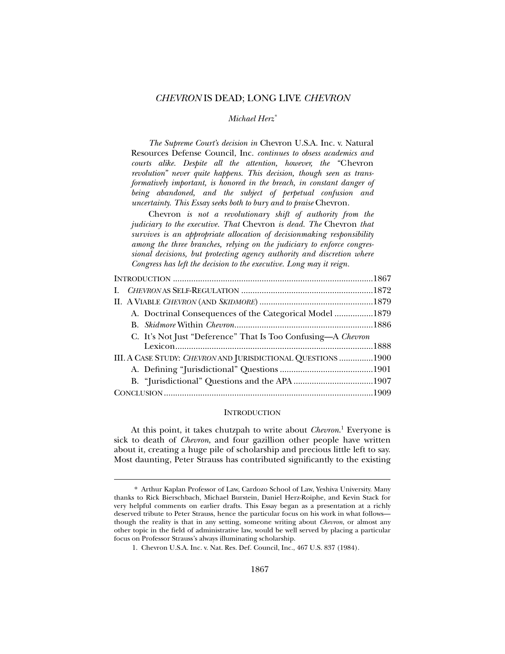# *CHEVRON* IS DEAD; LONG LIVE *CHEVRON*

# *Michael Herz\**

*The Supreme Court's decision in* Chevron U.S.A. Inc. v. Natural Resources Defense Council, Inc. *continues to obsess academics and courts alike. Despite all the attention, however, the "*Chevron *revolution" never quite happens. This decision, though seen as transformatively important, is honored in the breach, in constant danger of being abandoned, and the subject of perpetual confusion and uncertainty. This Essay seeks both to bury and to praise* Chevron*.* 

Chevron *is not a revolutionary shift of authority from the judiciary to the executive. That* Chevron *is dead. The* Chevron *that survives is an appropriate allocation of decisionmaking responsibility among the three branches, relying on the judiciary to enforce congressional decisions, but protecting agency authority and discretion where Congress has left the decision to the executive. Long may it reign.* 

| A. Doctrinal Consequences of the Categorical Model 1879      |  |
|--------------------------------------------------------------|--|
|                                                              |  |
| C. It's Not Just "Deference" That Is Too Confusing—A Chevron |  |
|                                                              |  |
| III. A CASE STUDY: CHEVRON AND JURISDICTIONAL QUESTIONS 1900 |  |
|                                                              |  |
|                                                              |  |
|                                                              |  |
|                                                              |  |

### **INTRODUCTION**

At this point, it takes chutzpah to write about *Chevron*. 1 Everyone is sick to death of *Chevron*, and four gazillion other people have written about it, creating a huge pile of scholarship and precious little left to say. Most daunting, Peter Strauss has contributed significantly to the existing

 <sup>\*</sup> Arthur Kaplan Professor of Law, Cardozo School of Law, Yeshiva University. Many thanks to Rick Bierschbach, Michael Burstein, Daniel Herz-Roiphe, and Kevin Stack for very helpful comments on earlier drafts. This Essay began as a presentation at a richly deserved tribute to Peter Strauss, hence the particular focus on his work in what follows though the reality is that in any setting, someone writing about *Chevron*, or almost any other topic in the field of administrative law, would be well served by placing a particular focus on Professor Strauss's always illuminating scholarship.

 <sup>1.</sup> Chevron U.S.A. Inc. v. Nat. Res. Def. Council, Inc., 467 U.S. 837 (1984).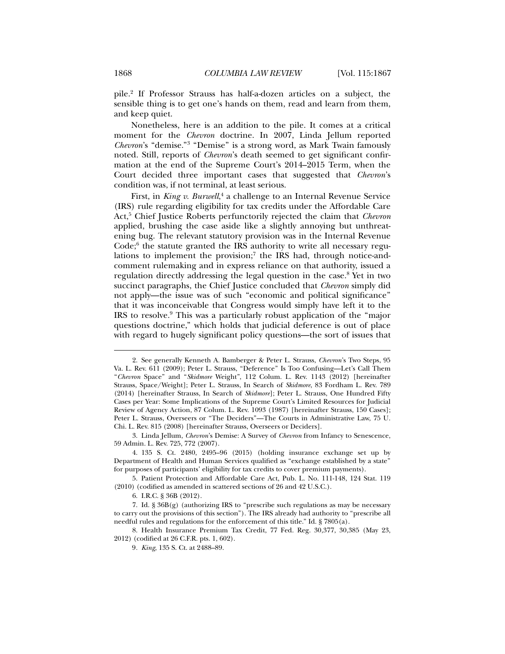pile.2 If Professor Strauss has half-a-dozen articles on a subject, the sensible thing is to get one's hands on them, read and learn from them, and keep quiet.

Nonetheless, here is an addition to the pile. It comes at a critical moment for the *Chevron* doctrine. In 2007, Linda Jellum reported *Chevron*'s "demise."3 "Demise" is a strong word, as Mark Twain famously noted. Still, reports of *Chevron*'s death seemed to get significant confirmation at the end of the Supreme Court's 2014–2015 Term, when the Court decided three important cases that suggested that *Chevron*'s condition was, if not terminal, at least serious.

First, in *King v. Burwell*,<sup>4</sup> a challenge to an Internal Revenue Service (IRS) rule regarding eligibility for tax credits under the Affordable Care Act,5 Chief Justice Roberts perfunctorily rejected the claim that *Chevron* applied, brushing the case aside like a slightly annoying but unthreatening bug. The relevant statutory provision was in the Internal Revenue Code;<sup>6</sup> the statute granted the IRS authority to write all necessary regulations to implement the provision;<sup>7</sup> the IRS had, through notice-andcomment rulemaking and in express reliance on that authority, issued a regulation directly addressing the legal question in the case.<sup>8</sup> Yet in two succinct paragraphs, the Chief Justice concluded that *Chevron* simply did not apply—the issue was of such "economic and political significance" that it was inconceivable that Congress would simply have left it to the IRS to resolve.<sup>9</sup> This was a particularly robust application of the "major questions doctrine," which holds that judicial deference is out of place with regard to hugely significant policy questions—the sort of issues that

 <sup>2.</sup> See generally Kenneth A. Bamberger & Peter L. Strauss, *Chevron*'s Two Steps, 95 Va. L. Rev. 611 (2009); Peter L. Strauss, "Deference" Is Too Confusing—Let's Call Them "*Chevron* Space" and "*Skidmore* Weight", 112 Colum. L. Rev. 1143 (2012) [hereinafter Strauss, Space/Weight]; Peter L. Strauss, In Search of *Skidmore*, 83 Fordham L. Rev. 789 (2014) [hereinafter Strauss, In Search of *Skidmore*]; Peter L. Strauss, One Hundred Fifty Cases per Year: Some Implications of the Supreme Court's Limited Resources for Judicial Review of Agency Action, 87 Colum. L. Rev. 1093 (1987) [hereinafter Strauss, 150 Cases]; Peter L. Strauss, Overseers or "The Deciders"—The Courts in Administrative Law, 75 U. Chi. L. Rev. 815 (2008) [hereinafter Strauss, Overseers or Deciders].

 <sup>3.</sup> Linda Jellum, *Chevron*'s Demise: A Survey of *Chevron* from Infancy to Senescence, 59 Admin. L. Rev. 725, 772 (2007).

 <sup>4. 135</sup> S. Ct. 2480, 2495–96 (2015) (holding insurance exchange set up by Department of Health and Human Services qualified as "exchange established by a state" for purposes of participants' eligibility for tax credits to cover premium payments).

 <sup>5.</sup> Patient Protection and Affordable Care Act, Pub. L. No. 111-148, 124 Stat. 119 (2010) (codified as amended in scattered sections of 26 and 42 U.S.C.).

 <sup>6.</sup> I.R.C. § 36B (2012).

 <sup>7.</sup> Id. § 36B(g) (authorizing IRS to "prescribe such regulations as may be necessary to carry out the provisions of this section"). The IRS already had authority to "prescribe all needful rules and regulations for the enforcement of this title." Id. § 7805(a).

 <sup>8.</sup> Health Insurance Premium Tax Credit, 77 Fed. Reg. 30,377, 30,385 (May 23, 2012) (codified at 26 C.F.R. pts. 1, 602).

<sup>9</sup>*. King*, 135 S. Ct. at 2488–89.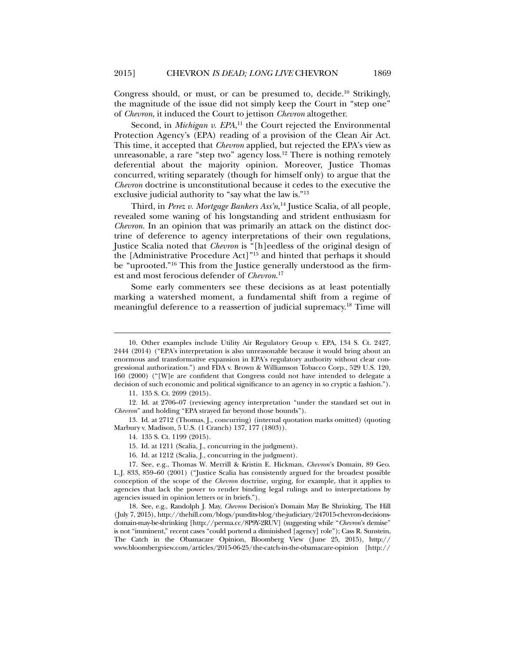Congress should, or must, or can be presumed to, decide.<sup>10</sup> Strikingly, the magnitude of the issue did not simply keep the Court in "step one" of *Chevron*, it induced the Court to jettison *Chevron* altogether.

Second, in *Michigan v. EPA*, 11 the Court rejected the Environmental Protection Agency's (EPA) reading of a provision of the Clean Air Act. This time, it accepted that *Chevron* applied, but rejected the EPA's view as unreasonable, a rare "step two" agency loss.<sup>12</sup> There is nothing remotely deferential about the majority opinion. Moreover, Justice Thomas concurred, writing separately (though for himself only) to argue that the *Chevron* doctrine is unconstitutional because it cedes to the executive the exclusive judicial authority to "say what the law is."13

Third, in *Perez v. Mortgage Bankers Ass'n*, 14 Justice Scalia, of all people, revealed some waning of his longstanding and strident enthusiasm for *Chevron*. In an opinion that was primarily an attack on the distinct doctrine of deference to agency interpretations of their own regulations, Justice Scalia noted that *Chevron* is "[h]eedless of the original design of the [Administrative Procedure Act]"15 and hinted that perhaps it should be "uprooted."16 This from the Justice generally understood as the firmest and most ferocious defender of *Chevron*. 17

Some early commenters see these decisions as at least potentially marking a watershed moment, a fundamental shift from a regime of meaningful deference to a reassertion of judicial supremacy.18 Time will

l

 13. Id. at 2712 (Thomas, J., concurring) (internal quotation marks omitted) (quoting Marbury v. Madison, 5 U.S. (1 Cranch) 137, 177 (1803)).

15. Id. at 1211 (Scalia, J., concurring in the judgment).

 <sup>10.</sup> Other examples include Utility Air Regulatory Group v. EPA, 134 S. Ct. 2427, 2444 (2014) ("EPA's interpretation is also unreasonable because it would bring about an enormous and transformative expansion in EPA's regulatory authority without clear congressional authorization.") and FDA v. Brown & Williamson Tobacco Corp., 529 U.S. 120, 160 (2000) ("[W]e are confident that Congress could not have intended to delegate a decision of such economic and political significance to an agency in so cryptic a fashion.").

 <sup>11. 135</sup> S. Ct. 2699 (2015).

 <sup>12.</sup> Id. at 2706–07 (reviewing agency interpretation "under the standard set out in *Chevron*" and holding "EPA strayed far beyond those bounds").

 <sup>14. 135</sup> S. Ct. 1199 (2015).

 <sup>16.</sup> Id. at 1212 (Scalia, J., concurring in the judgment).

 <sup>17.</sup> See, e.g., Thomas W. Merrill & Kristin E. Hickman, *Chevron*'s Domain, 89 Geo. L.J. 833, 859–60 (2001) ("Justice Scalia has consistently argued for the broadest possible conception of the scope of the *Chevron* doctrine, urging, for example, that it applies to agencies that lack the power to render binding legal rulings and to interpretations by agencies issued in opinion letters or in briefs.").

 <sup>18.</sup> See, e.g., Randolph J. May, *Chevron* Decision's Domain May Be Shrinking, The Hill (July 7, 2015), http://thehill.com/blogs/pundits-blog/the-judiciary/247015-chevron-decisionsdomain-may-be-shrinking [http://perma.cc/8P9Y-2RUV] (suggesting while "*Chevron*'s demise" is not "imminent," recent cases "could portend a diminished [agency] role"); Cass R. Sunstein, The Catch in the Obamacare Opinion, Bloomberg View (June 25, 2015), http:// www.bloombergview.com/articles/2015-06-25/the-catch-in-the-obamacare-opinion [http://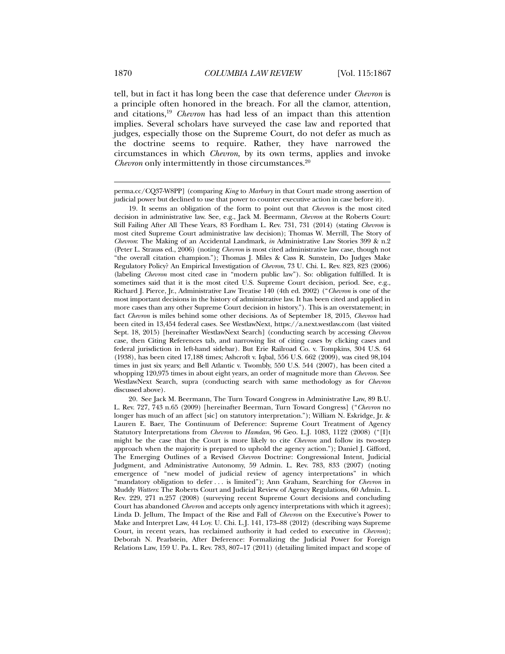tell, but in fact it has long been the case that deference under *Chevron* is a principle often honored in the breach. For all the clamor, attention, and citations,19 *Chevron* has had less of an impact than this attention implies. Several scholars have surveyed the case law and reported that judges, especially those on the Supreme Court, do not defer as much as the doctrine seems to require. Rather, they have narrowed the circumstances in which *Chevron*, by its own terms, applies and invoke *Chevron* only intermittently in those circumstances.<sup>20</sup>

perma.cc/CQ37-W8PP] (comparing *King* to *Marbury* in that Court made strong assertion of judicial power but declined to use that power to counter executive action in case before it).

 19. It seems an obligation of the form to point out that *Chevron* is the most cited decision in administrative law. See, e.g., Jack M. Beermann, *Chevron* at the Roberts Court: Still Failing After All These Years, 83 Fordham L. Rev. 731, 731 (2014) (stating *Chevron* is most cited Supreme Court administrative law decision); Thomas W. Merrill, The Story of *Chevron*: The Making of an Accidental Landmark, *in* Administrative Law Stories 399 & n.2 (Peter L. Strauss ed., 2006) (noting *Chevron* is most cited administrative law case, though not "the overall citation champion."); Thomas J. Miles & Cass R. Sunstein, Do Judges Make Regulatory Policy? An Empirical Investigation of *Chevron*, 73 U. Chi. L. Rev. 823, 823 (2006) (labeling *Chevron* most cited case in "modern public law"). So: obligation fulfilled. It is sometimes said that it is the most cited U.S. Supreme Court decision, period. See, e.g., Richard J. Pierce, Jr., Administrative Law Treatise 140 (4th ed. 2002) ("*Chevron* is one of the most important decisions in the history of administrative law. It has been cited and applied in more cases than any other Supreme Court decision in history."). This is an overstatement; in fact *Chevron* is miles behind some other decisions. As of September 18, 2015, *Chevron* had been cited in 13,454 federal cases. See WestlawNext, https://a.next.westlaw.com (last visited Sept. 18, 2015) [hereinafter WestlawNext Search] (conducting search by accessing *Chevron*  case, then Citing References tab, and narrowing list of citing cases by clicking cases and federal jurisdiction in left-hand sidebar). But Erie Railroad Co. v. Tompkins, 304 U.S. 64 (1938), has been cited 17,188 times; Ashcroft v. Iqbal, 556 U.S. 662 (2009), was cited 98,104 times in just six years; and Bell Atlantic v. Twombly, 550 U.S. 544 (2007), has been cited a whopping 120,975 times in about eight years, an order of magnitude more than *Chevron*. See WestlawNext Search, supra (conducting search with same methodology as for *Chevron*  discussed above).

 20. See Jack M. Beermann, The Turn Toward Congress in Administrative Law, 89 B.U. L. Rev. 727, 743 n.65 (2009) [hereinafter Beerman, Turn Toward Congress] ("*Chevron* no longer has much of an affect [sic] on statutory interpretation."); William N. Eskridge, Jr. & Lauren E. Baer, The Continuum of Deference: Supreme Court Treatment of Agency Statutory Interpretations from *Chevron* to *Hamdan*, 96 Geo. L.J. 1083, 1122 (2008) ("[I]t might be the case that the Court is more likely to cite *Chevron* and follow its two-step approach when the majority is prepared to uphold the agency action."); Daniel J. Gifford, The Emerging Outlines of a Revised *Chevron* Doctrine: Congressional Intent, Judicial Judgment, and Administrative Autonomy, 59 Admin. L. Rev. 783, 833 (2007) (noting emergence of "new model of judicial review of agency interpretations" in which "mandatory obligation to defer . . . is limited"); Ann Graham, Searching for *Chevron* in Muddy *Watters*: The Roberts Court and Judicial Review of Agency Regulations, 60 Admin. L. Rev. 229, 271 n.257 (2008) (surveying recent Supreme Court decisions and concluding Court has abandoned *Chevron* and accepts only agency interpretations with which it agrees); Linda D. Jellum, The Impact of the Rise and Fall of *Chevron* on the Executive's Power to Make and Interpret Law, 44 Loy. U. Chi. L.J. 141, 173–88 (2012) (describing ways Supreme Court, in recent years, has reclaimed authority it had ceded to executive in *Chevron*); Deborah N. Pearlstein, After Deference: Formalizing the Judicial Power for Foreign Relations Law, 159 U. Pa. L. Rev. 783, 807–17 (2011) (detailing limited impact and scope of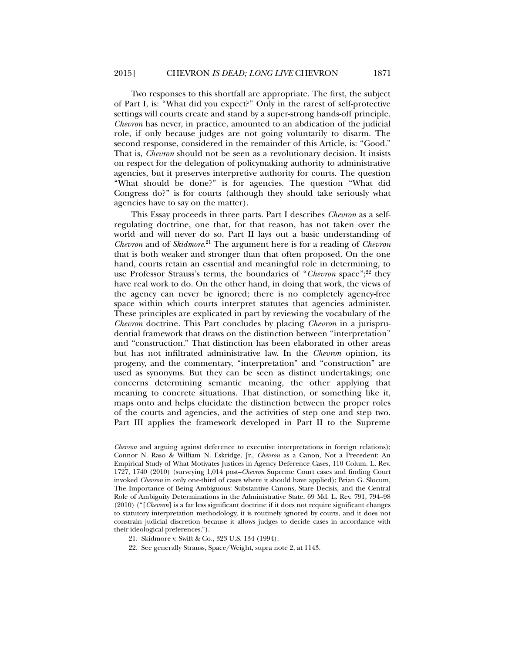Two responses to this shortfall are appropriate. The first, the subject of Part I, is: "What did you expect?" Only in the rarest of self-protective settings will courts create and stand by a super-strong hands-off principle. *Chevron* has never, in practice, amounted to an abdication of the judicial role, if only because judges are not going voluntarily to disarm. The second response, considered in the remainder of this Article, is: "Good." That is, *Chevron* should not be seen as a revolutionary decision. It insists on respect for the delegation of policymaking authority to administrative agencies, but it preserves interpretive authority for courts. The question "What should be done?" is for agencies. The question "What did Congress do?" is for courts (although they should take seriously what agencies have to say on the matter).

This Essay proceeds in three parts. Part I describes *Chevron* as a selfregulating doctrine, one that, for that reason, has not taken over the world and will never do so. Part II lays out a basic understanding of *Chevron* and of *Skidmore*. 21 The argument here is for a reading of *Chevron*  that is both weaker and stronger than that often proposed. On the one hand, courts retain an essential and meaningful role in determining, to use Professor Strauss's terms, the boundaries of "*Chevron* space";<sup>22</sup> they have real work to do. On the other hand, in doing that work, the views of the agency can never be ignored; there is no completely agency-free space within which courts interpret statutes that agencies administer. These principles are explicated in part by reviewing the vocabulary of the *Chevron* doctrine. This Part concludes by placing *Chevron* in a jurisprudential framework that draws on the distinction between "interpretation" and "construction." That distinction has been elaborated in other areas but has not infiltrated administrative law. In the *Chevron* opinion, its progeny, and the commentary, "interpretation" and "construction" are used as synonyms. But they can be seen as distinct undertakings; one concerns determining semantic meaning, the other applying that meaning to concrete situations. That distinction, or something like it, maps onto and helps elucidate the distinction between the proper roles of the courts and agencies, and the activities of step one and step two. Part III applies the framework developed in Part II to the Supreme

*Chevron* and arguing against deference to executive interpretations in foreign relations); Connor N. Raso & William N. Eskridge, Jr., *Chevron* as a Canon, Not a Precedent: An Empirical Study of What Motivates Justices in Agency Deference Cases, 110 Colum. L. Rev. 1727, 1740 (2010) (surveying 1,014 post–*Chevron* Supreme Court cases and finding Court invoked *Chevron* in only one-third of cases where it should have applied); Brian G. Slocum, The Importance of Being Ambiguous: Substantive Canons, Stare Decisis, and the Central Role of Ambiguity Determinations in the Administrative State, 69 Md. L. Rev. 791, 794–98 (2010) ("[*Chevron*] is a far less significant doctrine if it does not require significant changes to statutory interpretation methodology, it is routinely ignored by courts, and it does not constrain judicial discretion because it allows judges to decide cases in accordance with their ideological preferences.").

 <sup>21.</sup> Skidmore v. Swift & Co., 323 U.S. 134 (1994).

 <sup>22.</sup> See generally Strauss, Space/Weight, supra note 2, at 1143.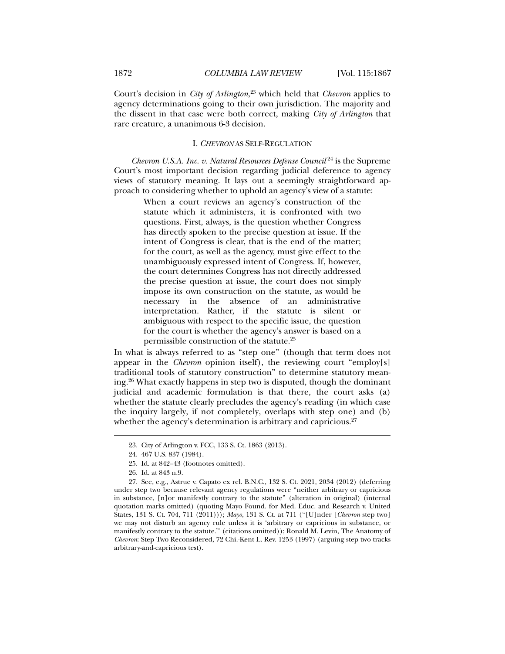Court's decision in *City of Arlington*, 23 which held that *Chevron* applies to agency determinations going to their own jurisdiction. The majority and the dissent in that case were both correct, making *City of Arlington* that rare creature, a unanimous 6-3 decision.

# I. *CHEVRON* AS SELF-REGULATION

*Chevron U.S.A. Inc. v. Natural Resources Defense Council* 24 is the Supreme Court's most important decision regarding judicial deference to agency views of statutory meaning. It lays out a seemingly straightforward approach to considering whether to uphold an agency's view of a statute:

> When a court reviews an agency's construction of the statute which it administers, it is confronted with two questions. First, always, is the question whether Congress has directly spoken to the precise question at issue. If the intent of Congress is clear, that is the end of the matter; for the court, as well as the agency, must give effect to the unambiguously expressed intent of Congress. If, however, the court determines Congress has not directly addressed the precise question at issue, the court does not simply impose its own construction on the statute, as would be necessary in the absence of an administrative interpretation. Rather, if the statute is silent or ambiguous with respect to the specific issue, the question for the court is whether the agency's answer is based on a permissible construction of the statute.25

In what is always referred to as "step one" (though that term does not appear in the *Chevron* opinion itself), the reviewing court "employ[s] traditional tools of statutory construction" to determine statutory meaning.26 What exactly happens in step two is disputed, though the dominant judicial and academic formulation is that there, the court asks (a) whether the statute clearly precludes the agency's reading (in which case the inquiry largely, if not completely, overlaps with step one) and (b) whether the agency's determination is arbitrary and capricious.<sup>27</sup>

- 25. Id. at 842–43 (footnotes omitted).
- 26. Id. at 843 n.9.

l

 27. See, e.g., Astrue v. Capato ex rel. B.N.C., 132 S. Ct. 2021, 2034 (2012) (deferring under step two because relevant agency regulations were "neither arbitrary or capricious in substance, [n]or manifestly contrary to the statute" (alteration in original) (internal quotation marks omitted) (quoting Mayo Found. for Med. Educ. and Research v. United States, 131 S. Ct. 704, 711 (2011))); *Mayo*, 131 S. Ct. at 711 ("[U]nder [*Chevron* step two] we may not disturb an agency rule unless it is 'arbitrary or capricious in substance, or manifestly contrary to the statute.'" (citations omitted)); Ronald M. Levin, The Anatomy of *Chevron*: Step Two Reconsidered, 72 Chi.-Kent L. Rev. 1253 (1997) (arguing step two tracks arbitrary-and-capricious test).

 <sup>23.</sup> City of Arlington v. FCC, 133 S. Ct. 1863 (2013).

 <sup>24. 467</sup> U.S. 837 (1984).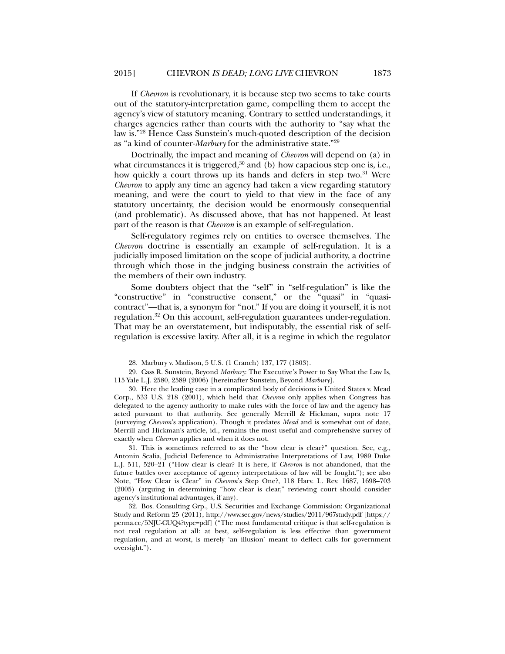If *Chevron* is revolutionary, it is because step two seems to take courts out of the statutory-interpretation game, compelling them to accept the agency's view of statutory meaning. Contrary to settled understandings, it charges agencies rather than courts with the authority to "say what the law is."28 Hence Cass Sunstein's much-quoted description of the decision as "a kind of counter-*Marbury* for the administrative state."29

Doctrinally, the impact and meaning of *Chevron* will depend on (a) in what circumstances it is triggered,<sup>30</sup> and (b) how capacious step one is, i.e., how quickly a court throws up its hands and defers in step two.<sup>31</sup> Were *Chevron* to apply any time an agency had taken a view regarding statutory meaning, and were the court to yield to that view in the face of any statutory uncertainty, the decision would be enormously consequential (and problematic). As discussed above, that has not happened. At least part of the reason is that *Chevron* is an example of self-regulation.

Self-regulatory regimes rely on entities to oversee themselves. The *Chevron* doctrine is essentially an example of self-regulation. It is a judicially imposed limitation on the scope of judicial authority, a doctrine through which those in the judging business constrain the activities of the members of their own industry.

Some doubters object that the "self" in "self-regulation" is like the "constructive" in "constructive consent," or the "quasi" in "quasicontract"—that is, a synonym for "not." If you are doing it yourself, it is not regulation.32 On this account, self-regulation guarantees under-regulation. That may be an overstatement, but indisputably, the essential risk of selfregulation is excessive laxity. After all, it is a regime in which the regulator

l

 31. This is sometimes referred to as the "how clear is clear?" question. See, e.g., Antonin Scalia, Judicial Deference to Administrative Interpretations of Law, 1989 Duke L.J. 511, 520–21 ("How clear is clear? It is here, if *Chevron* is not abandoned, that the future battles over acceptance of agency interpretations of law will be fought."); see also Note, "How Clear is Clear" in *Chevron*'s Step One?, 118 Harv. L. Rev. 1687, 1698–703 (2005) (arguing in determining "how clear is clear," reviewing court should consider agency's institutional advantages, if any).

 <sup>28.</sup> Marbury v. Madison, 5 U.S. (1 Cranch) 137, 177 (1803).

 <sup>29.</sup> Cass R. Sunstein, Beyond *Marbury*: The Executive's Power to Say What the Law Is, 115 Yale L.J. 2580, 2589 (2006) [hereinafter Sunstein, Beyond *Marbury*].

 <sup>30.</sup> Here the leading case in a complicated body of decisions is United States v. Mead Corp., 533 U.S. 218 (2001), which held that *Chevron* only applies when Congress has delegated to the agency authority to make rules with the force of law and the agency has acted pursuant to that authority. See generally Merrill & Hickman, supra note 17 (surveying *Chevron*'s application). Though it predates *Mead* and is somewhat out of date, Merrill and Hickman's article, id., remains the most useful and comprehensive survey of exactly when *Chevron* applies and when it does not.

 <sup>32.</sup> Bos. Consulting Grp., U.S. Securities and Exchange Commission: Organizational Study and Reform 25 (2011), http://www.sec.gov/news/studies/2011/967study.pdf [https:// perma.cc/5NJU-CUQ4?type=pdf] ("The most fundamental critique is that self-regulation is not real regulation at all: at best, self-regulation is less effective than government regulation, and at worst, is merely 'an illusion' meant to deflect calls for government oversight.").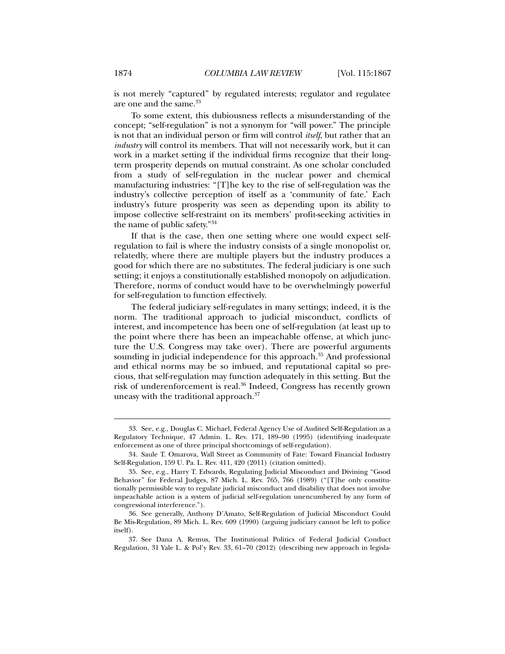is not merely "captured" by regulated interests; regulator and regulatee are one and the same.<sup>33</sup>

To some extent, this dubiousness reflects a misunderstanding of the concept; "self-regulation" is not a synonym for "will power." The principle is not that an individual person or firm will control *itself*, but rather that an *industry* will control its members. That will not necessarily work, but it can work in a market setting if the individual firms recognize that their longterm prosperity depends on mutual constraint. As one scholar concluded from a study of self-regulation in the nuclear power and chemical manufacturing industries: "[T]he key to the rise of self-regulation was the industry's collective perception of itself as a 'community of fate.' Each industry's future prosperity was seen as depending upon its ability to impose collective self-restraint on its members' profit-seeking activities in the name of public safety."34

If that is the case, then one setting where one would expect selfregulation to fail is where the industry consists of a single monopolist or, relatedly, where there are multiple players but the industry produces a good for which there are no substitutes. The federal judiciary is one such setting; it enjoys a constitutionally established monopoly on adjudication. Therefore, norms of conduct would have to be overwhelmingly powerful for self-regulation to function effectively.

The federal judiciary self-regulates in many settings; indeed, it is the norm. The traditional approach to judicial misconduct, conflicts of interest, and incompetence has been one of self-regulation (at least up to the point where there has been an impeachable offense, at which juncture the U.S. Congress may take over). There are powerful arguments sounding in judicial independence for this approach.<sup>35</sup> And professional and ethical norms may be so imbued, and reputational capital so precious, that self-regulation may function adequately in this setting. But the risk of underenforcement is real.36 Indeed, Congress has recently grown uneasy with the traditional approach.37

 <sup>33.</sup> See, e.g., Douglas C. Michael, Federal Agency Use of Audited Self-Regulation as a Regulatory Technique, 47 Admin. L. Rev. 171, 189–90 (1995) (identifying inadequate enforcement as one of three principal shortcomings of self-regulation).

 <sup>34.</sup> Saule T. Omarova, Wall Street as Community of Fate: Toward Financial Industry Self-Regulation, 159 U. Pa. L. Rev. 411, 420 (2011) (citation omitted).

 <sup>35.</sup> See, e.g., Harry T. Edwards, Regulating Judicial Misconduct and Divining "Good Behavior" for Federal Judges, 87 Mich. L. Rev. 765, 766 (1989) ("[T]he only constitutionally permissible way to regulate judicial misconduct and disability that does not involve impeachable action is a system of judicial self-regulation unencumbered by any form of congressional interference.").

 <sup>36.</sup> See generally, Anthony D'Amato, Self-Regulation of Judicial Misconduct Could Be Mis-Regulation, 89 Mich. L. Rev. 609 (1990) (arguing judiciary cannot be left to police itself).

 <sup>37.</sup> See Dana A. Remus, The Institutional Politics of Federal Judicial Conduct Regulation, 31 Yale L. & Pol'y Rev. 33, 61–70 (2012) (describing new approach in legisla-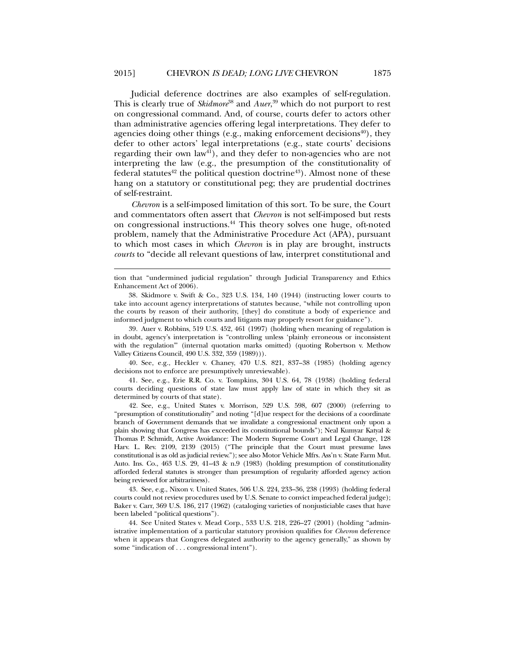Judicial deference doctrines are also examples of self-regulation. This is clearly true of *Skidmore*<sup>38</sup> and *Auer*, 39 which do not purport to rest on congressional command. And, of course, courts defer to actors other than administrative agencies offering legal interpretations. They defer to agencies doing other things (e.g., making enforcement decisions<sup> $40$ </sup>), they defer to other actors' legal interpretations (e.g., state courts' decisions regarding their own law<sup>41</sup>), and they defer to non-agencies who are not interpreting the law (e.g., the presumption of the constitutionality of federal statutes<sup>42</sup> the political question doctrine<sup>43</sup>). Almost none of these hang on a statutory or constitutional peg; they are prudential doctrines of self-restraint.

*Chevron* is a self-imposed limitation of this sort. To be sure, the Court and commentators often assert that *Chevron* is not self-imposed but rests on congressional instructions.44 This theory solves one huge, oft-noted problem, namely that the Administrative Procedure Act (APA), pursuant to which most cases in which *Chevron* is in play are brought, instructs *courts* to "decide all relevant questions of law, interpret constitutional and

l

 39. Auer v. Robbins, 519 U.S. 452, 461 (1997) (holding when meaning of regulation is in doubt, agency's interpretation is "controlling unless 'plainly erroneous or inconsistent with the regulation'" (internal quotation marks omitted) (quoting Robertson v. Methow Valley Citizens Council, 490 U.S. 332, 359 (1989))).

 40. See, e.g., Heckler v. Chaney, 470 U.S. 821, 837–38 (1985) (holding agency decisions not to enforce are presumptively unreviewable).

 41. See, e.g., Erie R.R. Co. v. Tompkins, 304 U.S. 64, 78 (1938) (holding federal courts deciding questions of state law must apply law of state in which they sit as determined by courts of that state).

 42. See, e.g., United States v. Morrison, 529 U.S. 598, 607 (2000) (referring to "presumption of constitutionality" and noting "[d]ue respect for the decisions of a coordinate branch of Government demands that we invalidate a congressional enactment only upon a plain showing that Congress has exceeded its constitutional bounds"); Neal Kumyar Katyal & Thomas P. Schmidt, Active Avoidance: The Modern Supreme Court and Legal Change, 128 Harv. L. Rev. 2109, 2139 (2015) ("The principle that the Court must presume laws constitutional is as old as judicial review."); see also Motor Vehicle Mfrs. Ass'n v. State Farm Mut. Auto. Ins. Co., 463 U.S. 29, 41–43 & n.9 (1983) (holding presumption of constitutionality afforded federal statutes is stronger than presumption of regularity afforded agency action being reviewed for arbitrariness).

 43. See, e.g., Nixon v. United States, 506 U.S. 224, 233–36, 238 (1993) (holding federal courts could not review procedures used by U.S. Senate to convict impeached federal judge); Baker v. Carr, 369 U.S. 186, 217 (1962) (cataloging varieties of nonjusticiable cases that have been labeled "political questions").

 44. See United States v. Mead Corp., 533 U.S. 218, 226–27 (2001) (holding "administrative implementation of a particular statutory provision qualifies for *Chevron* deference when it appears that Congress delegated authority to the agency generally," as shown by some "indication of . . . congressional intent").

tion that "undermined judicial regulation" through Judicial Transparency and Ethics Enhancement Act of 2006).

 <sup>38.</sup> Skidmore v. Swift & Co., 323 U.S. 134, 140 (1944) (instructing lower courts to take into account agency interpretations of statutes because, "while not controlling upon the courts by reason of their authority, [they] do constitute a body of experience and informed judgment to which courts and litigants may properly resort for guidance").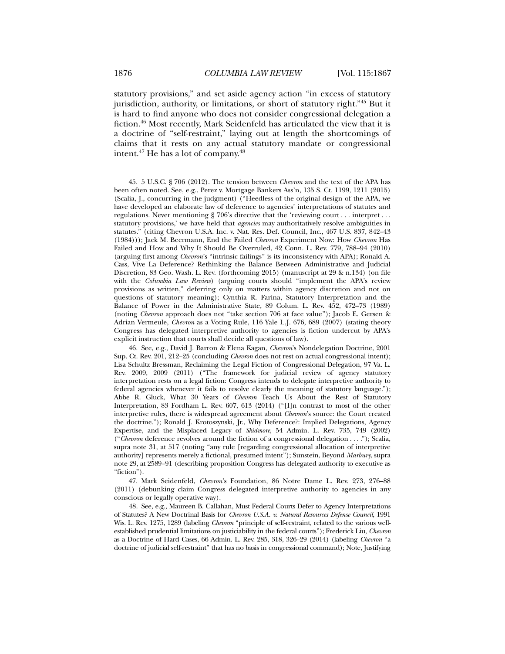statutory provisions," and set aside agency action "in excess of statutory jurisdiction, authority, or limitations, or short of statutory right."45 But it is hard to find anyone who does not consider congressional delegation a fiction.46 Most recently, Mark Seidenfeld has articulated the view that it is a doctrine of "self-restraint," laying out at length the shortcomings of claims that it rests on any actual statutory mandate or congressional intent.47 He has a lot of company.48

 47. Mark Seidenfeld, *Chevron*'s Foundation, 86 Notre Dame L. Rev. 273, 276–88 (2011) (debunking claim Congress delegated interpretive authority to agencies in any conscious or legally operative way).

 48. See, e.g., Maureen B. Callahan, Must Federal Courts Defer to Agency Interpretations of Statutes? A New Doctrinal Basis for *Chevron U.S.A. v. Natural Resources Defense Council*, 1991 Wis. L. Rev. 1275, 1289 (labeling *Chevron* "principle of self-restraint, related to the various wellestablished prudential limitations on justiciability in the federal courts"); Frederick Liu, *Chevron* as a Doctrine of Hard Cases, 66 Admin. L. Rev. 285, 318, 326–29 (2014) (labeling *Chevron* "a doctrine of judicial self-restraint" that has no basis in congressional command); Note, Justifying

 <sup>45. 5</sup> U.S.C. § 706 (2012). The tension between *Chevron* and the text of the APA has been often noted. See, e.g., Perez v. Mortgage Bankers Ass'n, 135 S. Ct. 1199, 1211 (2015) (Scalia, J., concurring in the judgment) ("Heedless of the original design of the APA, we have developed an elaborate law of deference to agencies' interpretations of statutes and regulations. Never mentioning § 706's directive that the 'reviewing court . . . interpret . . . statutory provisions,' we have held that *agencies* may authoritatively resolve ambiguities in statutes." (citing Chevron U.S.A. Inc. v. Nat. Res. Def. Council, Inc., 467 U.S. 837, 842–43 (1984))); Jack M. Beermann, End the Failed *Chevron* Experiment Now: How *Chevron* Has Failed and How and Why It Should Be Overruled, 42 Conn. L. Rev. 779, 788–94 (2010) (arguing first among *Chevron*'s "intrinsic failings" is its inconsistency with APA); Ronald A. Cass, Vive La Deference? Rethinking the Balance Between Administrative and Judicial Discretion, 83 Geo. Wash. L. Rev. (forthcoming 2015) (manuscript at 29 & n.134) (on file with the *Columbia Law Review*) (arguing courts should "implement the APA's review provisions as written," deferring only on matters within agency discretion and not on questions of statutory meaning); Cynthia R. Farina, Statutory Interpretation and the Balance of Power in the Administrative State, 89 Colum. L. Rev. 452, 472–73 (1989) (noting *Chevron* approach does not "take section 706 at face value"); Jacob E. Gersen & Adrian Vermeule, *Chevron* as a Voting Rule, 116 Yale L.J. 676, 689 (2007) (stating theory Congress has delegated interpretive authority to agencies is fiction undercut by APA's explicit instruction that courts shall decide all questions of law).

 <sup>46.</sup> See, e.g., David J. Barron & Elena Kagan, *Chevron*'s Nondelegation Doctrine, 2001 Sup. Ct. Rev. 201, 212–25 (concluding *Chevron* does not rest on actual congressional intent); Lisa Schultz Bressman, Reclaiming the Legal Fiction of Congressional Delegation, 97 Va. L. Rev. 2009, 2009 (2011) ("The framework for judicial review of agency statutory interpretation rests on a legal fiction: Congress intends to delegate interpretive authority to federal agencies whenever it fails to resolve clearly the meaning of statutory language."); Abbe R. Gluck, What 30 Years of *Chevron* Teach Us About the Rest of Statutory Interpretation, 83 Fordham L. Rev. 607, 613 (2014) ("[I]n contrast to most of the other interpretive rules, there is widespread agreement about *Chevron*'s source: the Court created the doctrine."); Ronald J. Krotoszynski, Jr., Why Deference?: Implied Delegations, Agency Expertise, and the Misplaced Legacy of *Skidmore*, 54 Admin. L. Rev. 735, 749 (2002) ("*Chevron* deference revolves around the fiction of a congressional delegation . . . ."); Scalia, supra note 31, at 517 (noting "any rule [regarding congressional allocation of interpretive authority] represents merely a fictional, presumed intent"); Sunstein, Beyond *Marbury*, supra note 29, at 2589–91 (describing proposition Congress has delegated authority to executive as "fiction").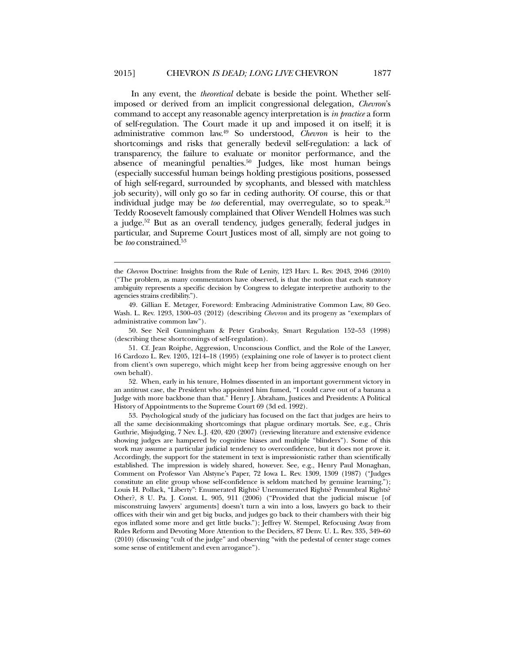In any event, the *theoretical* debate is beside the point. Whether selfimposed or derived from an implicit congressional delegation, *Chevron*'s command to accept any reasonable agency interpretation is *in practice* a form of self-regulation. The Court made it up and imposed it on itself; it is administrative common law.49 So understood, *Chevron* is heir to the shortcomings and risks that generally bedevil self-regulation: a lack of transparency, the failure to evaluate or monitor performance, and the absence of meaningful penalties.<sup>50</sup> Judges, like most human beings (especially successful human beings holding prestigious positions, possessed of high self-regard, surrounded by sycophants, and blessed with matchless job security), will only go so far in ceding authority. Of course, this or that individual judge may be *too* deferential, may overregulate, so to speak.<sup>51</sup> Teddy Roosevelt famously complained that Oliver Wendell Holmes was such a judge.52 But as an overall tendency, judges generally, federal judges in particular, and Supreme Court Justices most of all, simply are not going to be *too* constrained.<sup>53</sup>

l

 50. See Neil Gunningham & Peter Grabosky, Smart Regulation 152–53 (1998) (describing these shortcomings of self-regulation).

 51. Cf. Jean Roiphe, Aggression, Unconscious Conflict, and the Role of the Lawyer, 16 Cardozo L. Rev. 1205, 1214–18 (1995) (explaining one role of lawyer is to protect client from client's own superego, which might keep her from being aggressive enough on her own behalf).

 52. When, early in his tenure, Holmes dissented in an important government victory in an antitrust case, the President who appointed him fumed, "I could carve out of a banana a Judge with more backbone than that." Henry J. Abraham, Justices and Presidents: A Political History of Appointments to the Supreme Court 69 (3d ed. 1992).

 53. Psychological study of the judiciary has focused on the fact that judges are heirs to all the same decisionmaking shortcomings that plague ordinary mortals. See, e.g., Chris Guthrie, Misjudging, 7 Nev. L.J. 420, 420 (2007) (reviewing literature and extensive evidence showing judges are hampered by cognitive biases and multiple "blinders"). Some of this work may assume a particular judicial tendency to overconfidence, but it does not prove it. Accordingly, the support for the statement in text is impressionistic rather than scientifically established. The impression is widely shared, however. See, e.g., Henry Paul Monaghan, Comment on Professor Van Alstyne's Paper, 72 Iowa L. Rev. 1309, 1309 (1987) ("Judges constitute an elite group whose self-confidence is seldom matched by genuine learning."); Louis H. Pollack, "Liberty": Enumerated Rights? Unenumerated Rights? Penumbral Rights? Other?, 8 U. Pa. J. Const. L. 905, 911 (2006) ("Provided that the judicial miscue [of misconstruing lawyers' arguments] doesn't turn a win into a loss, lawyers go back to their offices with their win and get big bucks, and judges go back to their chambers with their big egos inflated some more and get little bucks."); Jeffrey W. Stempel, Refocusing Away from Rules Reform and Devoting More Attention to the Deciders, 87 Denv. U. L. Rev. 335, 349–60 (2010) (discussing "cult of the judge" and observing "with the pedestal of center stage comes some sense of entitlement and even arrogance").

the *Chevron* Doctrine: Insights from the Rule of Lenity, 123 Harv. L. Rev. 2043, 2046 (2010) ("The problem, as many commentators have observed, is that the notion that each statutory ambiguity represents a specific decision by Congress to delegate interpretive authority to the agencies strains credibility.").

 <sup>49.</sup> Gillian E. Metzger, Foreword: Embracing Administrative Common Law, 80 Geo. Wash. L. Rev. 1293, 1300–03 (2012) (describing *Chevron* and its progeny as "exemplars of administrative common law").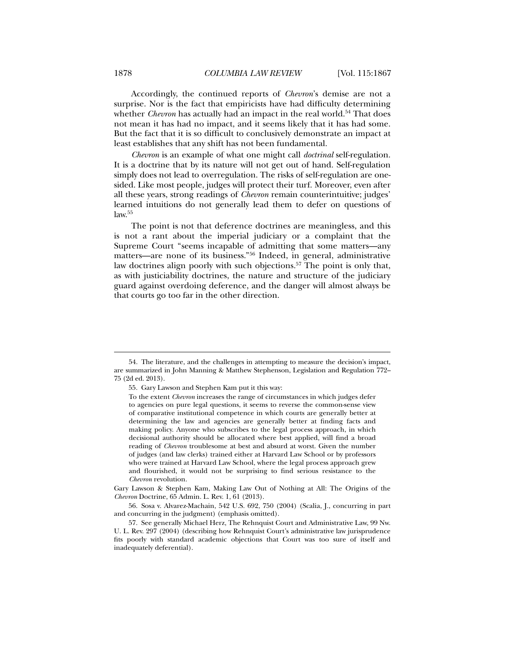Accordingly, the continued reports of *Chevron*'s demise are not a surprise. Nor is the fact that empiricists have had difficulty determining whether *Chevron* has actually had an impact in the real world.<sup>54</sup> That does not mean it has had no impact, and it seems likely that it has had some. But the fact that it is so difficult to conclusively demonstrate an impact at least establishes that any shift has not been fundamental.

*Chevron* is an example of what one might call *doctrinal* self-regulation. It is a doctrine that by its nature will not get out of hand. Self-regulation simply does not lead to overregulation. The risks of self-regulation are onesided. Like most people, judges will protect their turf. Moreover, even after all these years, strong readings of *Chevron* remain counterintuitive; judges' learned intuitions do not generally lead them to defer on questions of  $law.<sup>55</sup>$ 

The point is not that deference doctrines are meaningless, and this is not a rant about the imperial judiciary or a complaint that the Supreme Court "seems incapable of admitting that some matters—any matters—are none of its business."56 Indeed, in general, administrative law doctrines align poorly with such objections.<sup>57</sup> The point is only that, as with justiciability doctrines, the nature and structure of the judiciary guard against overdoing deference, and the danger will almost always be that courts go too far in the other direction.

Gary Lawson & Stephen Kam, Making Law Out of Nothing at All: The Origins of the *Chevron* Doctrine, 65 Admin. L. Rev. 1, 61 (2013).

 56. Sosa v. Alvarez-Machain, 542 U.S. 692, 750 (2004) (Scalia, J., concurring in part and concurring in the judgment) (emphasis omitted).

 <sup>54.</sup> The literature, and the challenges in attempting to measure the decision's impact, are summarized in John Manning & Matthew Stephenson, Legislation and Regulation 772– 75 (2d ed. 2013).

 <sup>55.</sup> Gary Lawson and Stephen Kam put it this way:

To the extent *Chevron* increases the range of circumstances in which judges defer to agencies on pure legal questions, it seems to reverse the common-sense view of comparative institutional competence in which courts are generally better at determining the law and agencies are generally better at finding facts and making policy. Anyone who subscribes to the legal process approach, in which decisional authority should be allocated where best applied, will find a broad reading of *Chevron* troublesome at best and absurd at worst. Given the number of judges (and law clerks) trained either at Harvard Law School or by professors who were trained at Harvard Law School, where the legal process approach grew and flourished, it would not be surprising to find serious resistance to the *Chevron* revolution.

 <sup>57.</sup> See generally Michael Herz, The Rehnquist Court and Administrative Law, 99 Nw. U. L. Rev. 297 (2004) (describing how Rehnquist Court's administrative law jurisprudence fits poorly with standard academic objections that Court was too sure of itself and inadequately deferential).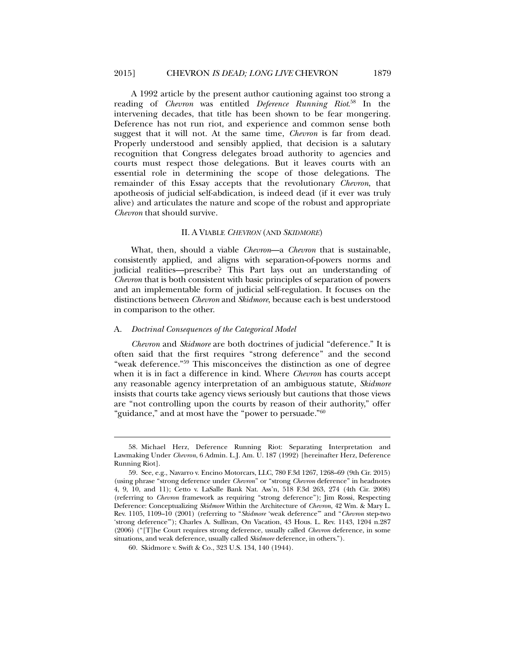A 1992 article by the present author cautioning against too strong a reading of *Chevron* was entitled *Deference Running Riot*. 58 In the intervening decades, that title has been shown to be fear mongering. Deference has not run riot, and experience and common sense both suggest that it will not. At the same time, *Chevron* is far from dead. Properly understood and sensibly applied, that decision is a salutary recognition that Congress delegates broad authority to agencies and courts must respect those delegations. But it leaves courts with an essential role in determining the scope of those delegations. The remainder of this Essay accepts that the revolutionary *Chevron*, that apotheosis of judicial self-abdication, is indeed dead (if it ever was truly alive) and articulates the nature and scope of the robust and appropriate *Chevron* that should survive.

# II. A VIABLE *CHEVRON* (AND *SKIDMORE*)

What, then, should a viable *Chevron*—a *Chevron* that is sustainable, consistently applied, and aligns with separation-of-powers norms and judicial realities—prescribe? This Part lays out an understanding of *Chevron* that is both consistent with basic principles of separation of powers and an implementable form of judicial self-regulation. It focuses on the distinctions between *Chevron* and *Skidmore*, because each is best understood in comparison to the other.

### A. *Doctrinal Consequences of the Categorical Model*

l

*Chevron* and *Skidmore* are both doctrines of judicial "deference." It is often said that the first requires "strong deference" and the second "weak deference."59 This misconceives the distinction as one of degree when it is in fact a difference in kind. Where *Chevron* has courts accept any reasonable agency interpretation of an ambiguous statute, *Skidmore*  insists that courts take agency views seriously but cautions that those views are "not controlling upon the courts by reason of their authority," offer "guidance," and at most have the "power to persuade."60

 <sup>58.</sup> Michael Herz, Deference Running Riot: Separating Interpretation and Lawmaking Under *Chevron*, 6 Admin. L.J. Am. U. 187 (1992) [hereinafter Herz, Deference Running Riot].

 <sup>59.</sup> See, e.g., Navarro v. Encino Motorcars, LLC, 780 F.3d 1267, 1268–69 (9th Cir. 2015) (using phrase "strong deference under *Chevron*" or "strong *Chevron* deference" in headnotes 4, 9, 10, and 11); Cetto v. LaSalle Bank Nat. Ass'n, 518 F.3d 263, 274 (4th Cir. 2008) (referring to *Chevron* framework as requiring "strong deference"); Jim Rossi, Respecting Deference: Conceptualizing *Skidmore* Within the Architecture of *Chevron*, 42 Wm. & Mary L. Rev. 1105, 1109–10 (2001) (referring to "*Skidmore* 'weak deference'" and "*Chevron* step-two 'strong deference'"); Charles A. Sullivan, On Vacation, 43 Hous. L. Rev. 1143, 1204 n.287 (2006) ("[T]he Court requires strong deference, usually called *Chevron* deference, in some situations, and weak deference, usually called *Skidmore* deference, in others.").

 <sup>60.</sup> Skidmore v. Swift & Co., 323 U.S. 134, 140 (1944).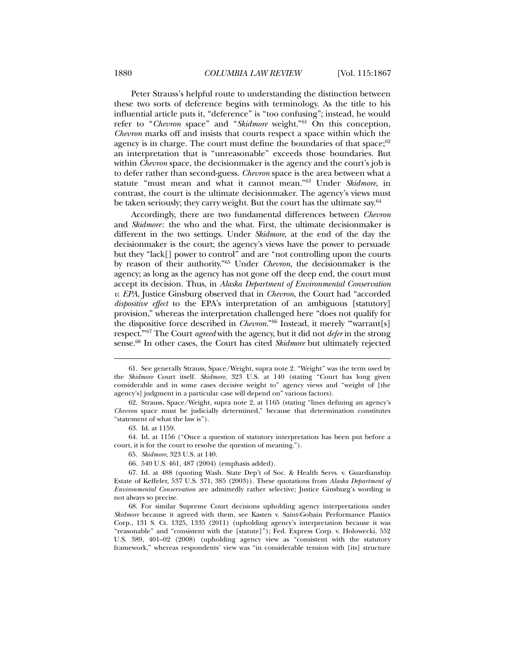Peter Strauss's helpful route to understanding the distinction between these two sorts of deference begins with terminology. As the title to his influential article puts it, "deference" is "too confusing"; instead, he would refer to "*Chevron* space" and "*Skidmore* weight."61 On this conception, *Chevron* marks off and insists that courts respect a space within which the agency is in charge. The court must define the boundaries of that space;  $62$ an interpretation that is "unreasonable" exceeds those boundaries. But within *Chevron* space, the decisionmaker is the agency and the court's job is to defer rather than second-guess. *Chevron* space is the area between what a statute "must mean and what it cannot mean."63 Under *Skidmore*, in contrast, the court is the ultimate decisionmaker. The agency's views must be taken seriously; they carry weight. But the court has the ultimate say.<sup>64</sup>

Accordingly, there are two fundamental differences between *Chevron*  and *Skidmore*: the who and the what. First, the ultimate decisionmaker is different in the two settings. Under *Skidmore*, at the end of the day the decisionmaker is the court; the agency's views have the power to persuade but they "lack[] power to control" and are "not controlling upon the courts by reason of their authority."65 Under *Chevron*, the decisionmaker is the agency; as long as the agency has not gone off the deep end, the court must accept its decision. Thus, in *Alaska Department of Environmental Conservation v. EPA*, Justice Ginsburg observed that in *Chevron*, the Court had "accorded *dispositive effect* to the EPA's interpretation of an ambiguous [statutory] provision," whereas the interpretation challenged here "does not qualify for the dispositive force described in *Chevron*."66 Instead, it merely "'warrant[s] respect.'"67 The Court *agreed* with the agency, but it did not *defer* in the strong sense.68 In other cases, the Court has cited *Skidmore* but ultimately rejected

l

 64. Id. at 1156 ("Once a question of statutory interpretation has been put before a court, it is for the court to resolve the question of meaning.").

65*. Skidmore*, 323 U.S. at 140.

66. 540 U.S. 461, 487 (2004) (emphasis added).

 <sup>61.</sup> See generally Strauss, Space/Weight, supra note 2. "Weight" was the term used by the *Skidmore* Court itself. *Skidmore*, 323 U.S. at 140 (stating "Court has long given considerable and in some cases decisive weight to" agency views and "weight of [the agency's] judgment in a particular case will depend on" various factors).

 <sup>62.</sup> Strauss, Space/Weight, supra note 2, at 1165 (stating "lines defining an agency's *Chevron* space must be judicially determined," because that determination constitutes "statement of what the law is").

 <sup>63.</sup> Id. at 1159.

 <sup>67.</sup> Id. at 488 (quoting Wash. State Dep't of Soc. & Health Servs. v. Guardianship Estate of Keffeler, 537 U.S. 371, 385 (2003)). These quotations from *Alaska Department of Environmental Conservation* are admittedly rather selective; Justice Ginsburg's wording is not always so precise.

 <sup>68.</sup> For similar Supreme Court decisions upholding agency interpretations under *Skidmore* because it agreed with them, see Kasten v. Saint-Gobain Performance Plastics Corp., 131 S. Ct. 1325, 1335 (2011) (upholding agency's interpretation because it was "reasonable" and "consistent with the [statute]"); Fed. Express Corp. v. Holowecki, 552 U.S. 389, 401–02 (2008) (upholding agency view as "consistent with the statutory framework," whereas respondents' view was "in considerable tension with [its] structure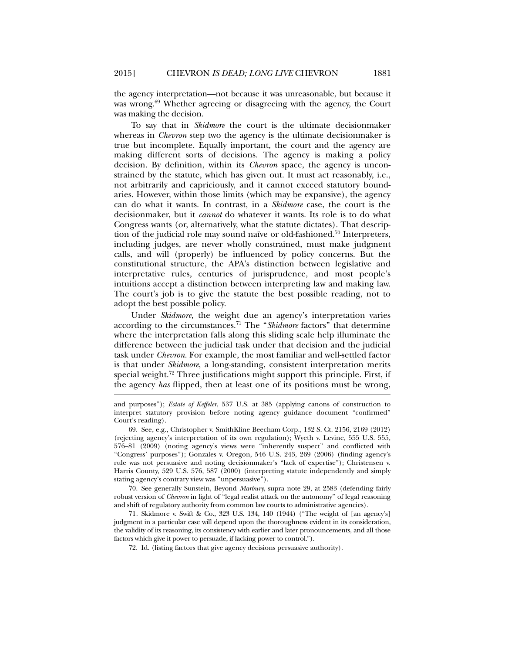the agency interpretation—not because it was unreasonable, but because it was wrong.<sup>69</sup> Whether agreeing or disagreeing with the agency, the Court was making the decision.

To say that in *Skidmore* the court is the ultimate decisionmaker whereas in *Chevron* step two the agency is the ultimate decisionmaker is true but incomplete. Equally important, the court and the agency are making different sorts of decisions. The agency is making a policy decision. By definition, within its *Chevron* space, the agency is unconstrained by the statute, which has given out. It must act reasonably, i.e., not arbitrarily and capriciously, and it cannot exceed statutory boundaries. However, within those limits (which may be expansive), the agency can do what it wants. In contrast, in a *Skidmore* case, the court is the decisionmaker, but it *cannot* do whatever it wants. Its role is to do what Congress wants (or, alternatively, what the statute dictates). That description of the judicial role may sound naïve or old-fashioned.<sup>70</sup> Interpreters, including judges, are never wholly constrained, must make judgment calls, and will (properly) be influenced by policy concerns. But the constitutional structure, the APA's distinction between legislative and interpretative rules, centuries of jurisprudence, and most people's intuitions accept a distinction between interpreting law and making law. The court's job is to give the statute the best possible reading, not to adopt the best possible policy.

Under *Skidmore,* the weight due an agency's interpretation varies according to the circumstances.71 The "*Skidmore* factors" that determine where the interpretation falls along this sliding scale help illuminate the difference between the judicial task under that decision and the judicial task under *Chevron*. For example, the most familiar and well-settled factor is that under *Skidmore*, a long-standing, consistent interpretation merits special weight.72 Three justifications might support this principle. First, if the agency *has* flipped, then at least one of its positions must be wrong,

l

 70. See generally Sunstein, Beyond *Marbury*, supra note 29, at 2583 (defending fairly robust version of *Chevron* in light of "legal realist attack on the autonomy" of legal reasoning and shift of regulatory authority from common law courts to administrative agencies).

71*.* Skidmore v. Swift & Co., 323 U.S. 134, 140 (1944) ("The weight of [an agency's] judgment in a particular case will depend upon the thoroughness evident in its consideration, the validity of its reasoning, its consistency with earlier and later pronouncements, and all those factors which give it power to persuade, if lacking power to control.").

72. Id. (listing factors that give agency decisions persuasive authority).

and purposes"); *Estate of Keffeler*, 537 U.S. at 385 (applying canons of construction to interpret statutory provision before noting agency guidance document "confirmed" Court's reading).

 <sup>69.</sup> See, e.g., Christopher v. SmithKline Beecham Corp., 132 S. Ct. 2156, 2169 (2012) (rejecting agency's interpretation of its own regulation); Wyeth v. Levine, 555 U.S. 555, 576–81 (2009) (noting agency's views were "inherently suspect" and conflicted with "Congress' purposes"); Gonzales v. Oregon, 546 U.S. 243, 269 (2006) (finding agency's rule was not persuasive and noting decisionmaker's "lack of expertise"); Christensen v. Harris County, 529 U.S. 576, 587 (2000) (interpreting statute independently and simply stating agency's contrary view was "unpersuasive").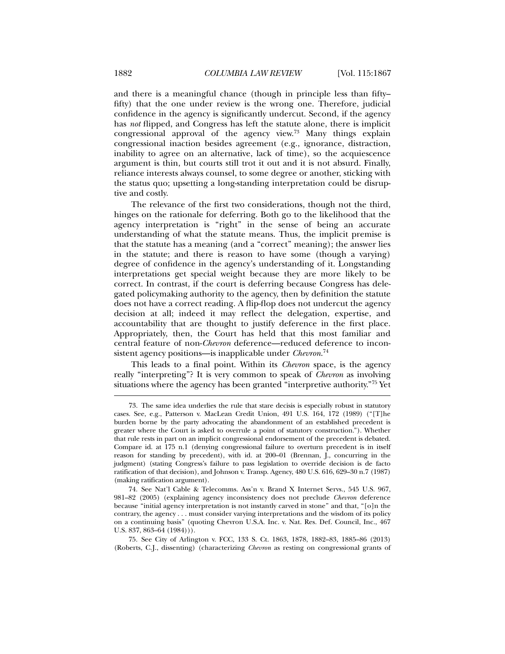and there is a meaningful chance (though in principle less than fifty– fifty) that the one under review is the wrong one. Therefore, judicial confidence in the agency is significantly undercut. Second, if the agency has *not* flipped, and Congress has left the statute alone, there is implicit congressional approval of the agency view.73 Many things explain congressional inaction besides agreement (e.g., ignorance, distraction, inability to agree on an alternative, lack of time), so the acquiescence argument is thin, but courts still trot it out and it is not absurd. Finally, reliance interests always counsel, to some degree or another, sticking with the status quo; upsetting a long-standing interpretation could be disruptive and costly.

The relevance of the first two considerations, though not the third, hinges on the rationale for deferring. Both go to the likelihood that the agency interpretation is "right" in the sense of being an accurate understanding of what the statute means. Thus, the implicit premise is that the statute has a meaning (and a "correct" meaning); the answer lies in the statute; and there is reason to have some (though a varying) degree of confidence in the agency's understanding of it. Longstanding interpretations get special weight because they are more likely to be correct. In contrast, if the court is deferring because Congress has delegated policymaking authority to the agency, then by definition the statute does not have a correct reading. A flip-flop does not undercut the agency decision at all; indeed it may reflect the delegation, expertise, and accountability that are thought to justify deference in the first place. Appropriately, then, the Court has held that this most familiar and central feature of non-*Chevron* deference—reduced deference to inconsistent agency positions—is inapplicable under *Chevron*. 74

This leads to a final point. Within its *Chevron* space, is the agency really "interpreting"? It is very common to speak of *Chevron* as involving situations where the agency has been granted "interpretive authority."75 Yet

 <sup>73.</sup> The same idea underlies the rule that stare decisis is especially robust in statutory cases. See, e.g., Patterson v. MacLean Credit Union, 491 U.S. 164, 172 (1989) ("[T]he burden borne by the party advocating the abandonment of an established precedent is greater where the Court is asked to overrule a point of statutory construction."). Whether that rule rests in part on an implicit congressional endorsement of the precedent is debated. Compare id. at 175 n.1 (denying congressional failure to overturn precedent is in itself reason for standing by precedent), with id. at 200–01 (Brennan, J., concurring in the judgment) (stating Congress's failure to pass legislation to override decision is de facto ratification of that decision), and Johnson v. Transp. Agency, 480 U.S. 616, 629–30 n.7 (1987) (making ratification argument).

 <sup>74.</sup> See Nat'l Cable & Telecomms. Ass'n v. Brand X Internet Servs., 545 U.S. 967, 981–82 (2005) (explaining agency inconsistency does not preclude *Chevron* deference because "initial agency interpretation is not instantly carved in stone" and that, "[o]n the contrary, the agency . . . must consider varying interpretations and the wisdom of its policy on a continuing basis" (quoting Chevron U.S.A. Inc. v. Nat. Res. Def. Council, Inc., 467 U.S. 837, 863–64 (1984))).

 <sup>75.</sup> See City of Arlington v. FCC, 133 S. Ct. 1863, 1878, 1882–83, 1885–86 (2013) (Roberts, C.J., dissenting) (characterizing *Chevron* as resting on congressional grants of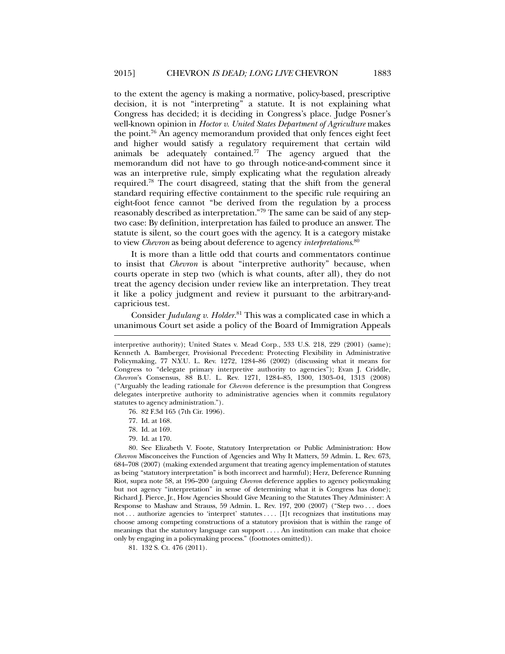to the extent the agency is making a normative, policy-based, prescriptive decision, it is not "interpreting" a statute. It is not explaining what Congress has decided; it is deciding in Congress's place. Judge Posner's well-known opinion in *Hoctor v. United States Department of Agriculture* makes the point.76 An agency memorandum provided that only fences eight feet and higher would satisfy a regulatory requirement that certain wild animals be adequately contained.77 The agency argued that the memorandum did not have to go through notice-and-comment since it was an interpretive rule, simply explicating what the regulation already required.78 The court disagreed, stating that the shift from the general standard requiring effective containment to the specific rule requiring an eight-foot fence cannot "be derived from the regulation by a process reasonably described as interpretation."79 The same can be said of any steptwo case: By definition, interpretation has failed to produce an answer. The statute is silent, so the court goes with the agency. It is a category mistake to view *Chevron* as being about deference to agency *interpretations*. 80

It is more than a little odd that courts and commentators continue to insist that *Chevron* is about "interpretive authority" because, when courts operate in step two (which is what counts, after all), they do not treat the agency decision under review like an interpretation. They treat it like a policy judgment and review it pursuant to the arbitrary-andcapricious test.

Consider *Judulang v. Holder*. 81 This was a complicated case in which a unanimous Court set aside a policy of the Board of Immigration Appeals

76. 82 F.3d 165 (7th Cir. 1996).

77. Id. at 168.

- 78. Id. at 169.
- 79. Id. at 170.

interpretive authority); United States v. Mead Corp., 533 U.S. 218, 229 (2001) (same); Kenneth A. Bamberger, Provisional Precedent: Protecting Flexibility in Administrative Policymaking, 77 N.Y.U. L. Rev. 1272, 1284–86 (2002) (discussing what it means for Congress to "delegate primary interpretive authority to agencies"); Evan J. Criddle, *Chevron*'s Consensus, 88 B.U. L. Rev. 1271, 1284–85, 1300, 1303–04, 1313 (2008) ("Arguably the leading rationale for *Chevron* deference is the presumption that Congress delegates interpretive authority to administrative agencies when it commits regulatory statutes to agency administration.").

 <sup>80.</sup> See Elizabeth V. Foote, Statutory Interpretation or Public Administration: How *Chevron* Misconceives the Function of Agencies and Why It Matters, 59 Admin. L. Rev. 673, 684–708 (2007) (making extended argument that treating agency implementation of statutes as being "statutory interpretation" is both incorrect and harmful); Herz, Deference Running Riot, supra note 58, at 196–200 (arguing *Chevron* deference applies to agency policymaking but not agency "interpretation" in sense of determining what it is Congress has done); Richard J. Pierce, Jr., How Agencies Should Give Meaning to the Statutes They Administer: A Response to Mashaw and Strauss, 59 Admin. L. Rev. 197, 200 (2007) ("Step two . . . does not . . . authorize agencies to 'interpret' statutes . . . . [I]t recognizes that institutions may choose among competing constructions of a statutory provision that is within the range of meanings that the statutory language can support . . . . An institution can make that choice only by engaging in a policymaking process." (footnotes omitted)).

 <sup>81. 132</sup> S. Ct. 476 (2011).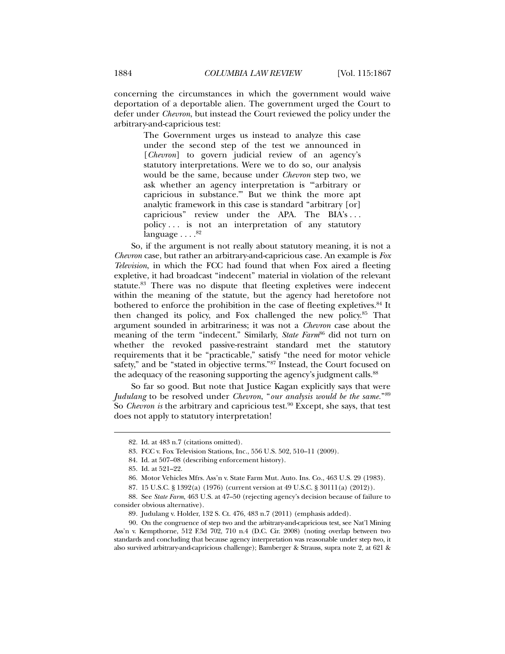concerning the circumstances in which the government would waive deportation of a deportable alien. The government urged the Court to defer under *Chevron*, but instead the Court reviewed the policy under the arbitrary-and-capricious test:

> The Government urges us instead to analyze this case under the second step of the test we announced in [*Chevron*] to govern judicial review of an agency's statutory interpretations. Were we to do so, our analysis would be the same, because under *Chevron* step two, we ask whether an agency interpretation is "'arbitrary or capricious in substance.'" But we think the more apt analytic framework in this case is standard "arbitrary [or] capricious" review under the APA. The BIA's . . . policy . . . is not an interpretation of any statutory language  $\ldots$ .<sup>82</sup>

So, if the argument is not really about statutory meaning, it is not a *Chevron* case, but rather an arbitrary-and-capricious case. An example is *Fox Television*, in which the FCC had found that when Fox aired a fleeting expletive, it had broadcast "indecent" material in violation of the relevant statute.83 There was no dispute that fleeting expletives were indecent within the meaning of the statute, but the agency had heretofore not bothered to enforce the prohibition in the case of fleeting expletives.84 It then changed its policy, and Fox challenged the new policy.<sup>85</sup> That argument sounded in arbitrariness; it was not a *Chevron* case about the meaning of the term "indecent." Similarly, *State Farm*<sup>86</sup> did not turn on whether the revoked passive-restraint standard met the statutory requirements that it be "practicable," satisfy "the need for motor vehicle safety," and be "stated in objective terms."87 Instead, the Court focused on the adequacy of the reasoning supporting the agency's judgment calls.<sup>88</sup>

So far so good. But note that Justice Kagan explicitly says that were *Judulang* to be resolved under *Chevron*, "*our analysis would be the same.*"89 So *Chevron is* the arbitrary and capricious test.<sup>90</sup> Except, she says, that test does not apply to statutory interpretation!

 <sup>82.</sup> Id. at 483 n.7 (citations omitted).

 <sup>83.</sup> FCC v. Fox Television Stations, Inc., 556 U.S. 502, 510–11 (2009).

 <sup>84.</sup> Id. at 507–08 (describing enforcement history).

 <sup>85.</sup> Id. at 521–22.

 <sup>86.</sup> Motor Vehicles Mfrs. Ass'n v. State Farm Mut. Auto. Ins. Co., 463 U.S. 29 (1983).

 <sup>87. 15</sup> U.S.C. § 1392(a) (1976) (current version at 49 U.S.C. § 30111(a) (2012)).

 <sup>88.</sup> See *State Farm*, 463 U.S. at 47–50 (rejecting agency's decision because of failure to consider obvious alternative).

<sup>89</sup>*.* Judulang v. Holder, 132 S. Ct. 476, 483 n.7 (2011) (emphasis added).

 <sup>90.</sup> On the congruence of step two and the arbitrary-and-capricious test, see Nat'l Mining Ass'n v. Kempthorne, 512 F.3d 702, 710 n.4 (D.C. Cir. 2008) (noting overlap between two standards and concluding that because agency interpretation was reasonable under step two, it also survived arbitrary-and-capricious challenge); Bamberger & Strauss, supra note 2, at 621 &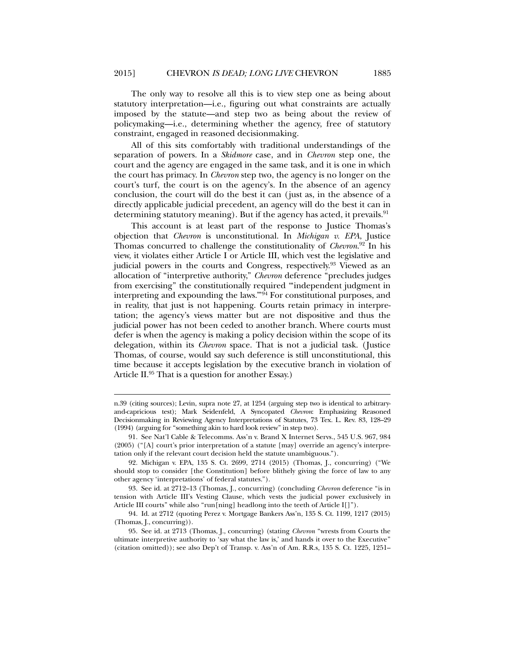The only way to resolve all this is to view step one as being about statutory interpretation—i.e., figuring out what constraints are actually imposed by the statute—and step two as being about the review of policymaking—i.e., determining whether the agency, free of statutory constraint, engaged in reasoned decisionmaking.

All of this sits comfortably with traditional understandings of the separation of powers. In a *Skidmore* case, and in *Chevron* step one, the court and the agency are engaged in the same task, and it is one in which the court has primacy. In *Chevron* step two, the agency is no longer on the court's turf, the court is on the agency's. In the absence of an agency conclusion, the court will do the best it can (just as, in the absence of a directly applicable judicial precedent, an agency will do the best it can in determining statutory meaning). But if the agency has acted, it prevails. <sup>91</sup>

This account is at least part of the response to Justice Thomas's objection that *Chevron* is unconstitutional. In *Michigan v. EPA*, Justice Thomas concurred to challenge the constitutionality of *Chevron*. 92 In his view, it violates either Article I or Article III, which vest the legislative and judicial powers in the courts and Congress, respectively.93 Viewed as an allocation of "interpretive authority," *Chevron* deference "precludes judges from exercising" the constitutionally required "'independent judgment in interpreting and expounding the laws.<sup>"94</sup> For constitutional purposes, and in reality, that just is not happening. Courts retain primacy in interpretation; the agency's views matter but are not dispositive and thus the judicial power has not been ceded to another branch. Where courts must defer is when the agency is making a policy decision within the scope of its delegation, within its *Chevron* space. That is not a judicial task. (Justice Thomas, of course, would say such deference is still unconstitutional, this time because it accepts legislation by the executive branch in violation of Article II.95 That is a question for another Essay.)

n.39 (citing sources); Levin, supra note 27, at 1254 (arguing step two is identical to arbitraryand-capricious test); Mark Seidenfeld, A Syncopated *Chevron*: Emphasizing Reasoned Decisionmaking in Reviewing Agency Interpretations of Statutes, 73 Tex. L. Rev. 83, 128–29 (1994) (arguing for "something akin to hard look review" in step two).

 <sup>91.</sup> See Nat'l Cable & Telecomms. Ass'n v. Brand X Internet Servs., 545 U.S. 967, 984 (2005) ("[A] court's prior interpretation of a statute [may] override an agency's interpretation only if the relevant court decision held the statute unambiguous.").

 <sup>92.</sup> Michigan v. EPA, 135 S. Ct. 2699, 2714 (2015) (Thomas, J., concurring) ("We should stop to consider [the Constitution] before blithely giving the force of law to any other agency 'interpretations' of federal statutes.").

 <sup>93.</sup> See id. at 2712–13 (Thomas, J., concurring) (concluding *Chevron* deference "is in tension with Article III's Vesting Clause, which vests the judicial power exclusively in Article III courts" while also "run[ning] headlong into the teeth of Article I[]").

 <sup>94.</sup> Id. at 2712 (quoting Perez v. Mortgage Bankers Ass'n, 135 S. Ct. 1199, 1217 (2015) (Thomas, J., concurring)).

 <sup>95.</sup> See id. at 2713 (Thomas, J., concurring) (stating *Chevron* "wrests from Courts the ultimate interpretive authority to 'say what the law is,' and hands it over to the Executive" (citation omitted)); see also Dep't of Transp. v. Ass'n of Am. R.R.s, 135 S. Ct. 1225, 1251–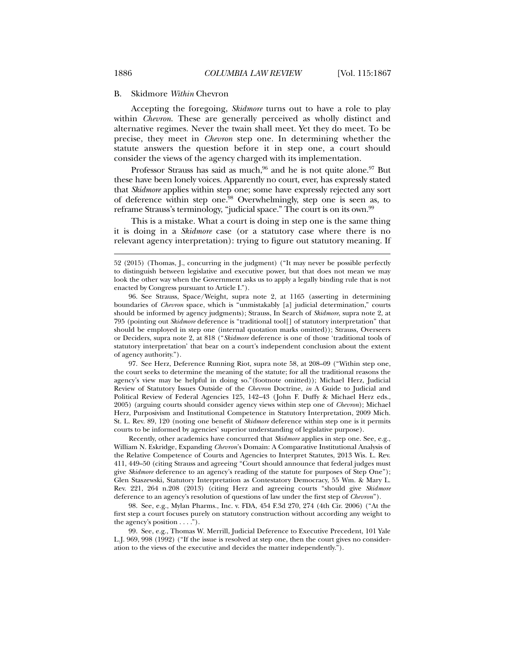#### B. Skidmore *Within* Chevron

Accepting the foregoing, *Skidmore* turns out to have a role to play within *Chevron*. These are generally perceived as wholly distinct and alternative regimes. Never the twain shall meet. Yet they do meet. To be precise, they meet in *Chevron* step one. In determining whether the statute answers the question before it in step one, a court should consider the views of the agency charged with its implementation.

Professor Strauss has said as much,<sup>96</sup> and he is not quite alone.<sup>97</sup> But these have been lonely voices. Apparently no court, ever, has expressly stated that *Skidmore* applies within step one; some have expressly rejected any sort of deference within step one.<sup>98</sup> Overwhelmingly, step one is seen as, to reframe Strauss's terminology, "judicial space." The court is on its own.<sup>99</sup>

This is a mistake. What a court is doing in step one is the same thing it is doing in a *Skidmore* case (or a statutory case where there is no relevant agency interpretation): trying to figure out statutory meaning. If

 97. See Herz, Deference Running Riot, supra note 58, at 208–09 ("Within step one, the court seeks to determine the meaning of the statute; for all the traditional reasons the agency's view may be helpful in doing so."(footnote omitted)); Michael Herz, Judicial Review of Statutory Issues Outside of the *Chevron* Doctrine, *in* A Guide to Judicial and Political Review of Federal Agencies 125, 142–43 (John F. Duffy & Michael Herz eds., 2005) (arguing courts should consider agency views within step one of *Chevron*); Michael Herz, Purposivism and Institutional Competence in Statutory Interpretation, 2009 Mich. St. L. Rev. 89, 120 (noting one benefit of *Skidmore* deference within step one is it permits courts to be informed by agencies' superior understanding of legislative purpose).

 Recently, other academics have concurred that *Skidmore* applies in step one. See, e.g., William N. Eskridge, Expanding *Chevron*'s Domain: A Comparative Institutional Analysis of the Relative Competence of Courts and Agencies to Interpret Statutes, 2013 Wis. L. Rev. 411, 449–50 (citing Strauss and agreeing "Court should announce that federal judges must give *Skidmore* deference to an agency's reading of the statute for purposes of Step One"); Glen Staszewski, Statutory Interpretation as Contestatory Democracy, 55 Wm. & Mary L. Rev. 221, 264 n.208 (2013) (citing Herz and agreeing courts "should give *Skidmore* deference to an agency's resolution of questions of law under the first step of *Chevron*").

 98. See, e.g., Mylan Pharms., Inc. v. FDA, 454 F.3d 270, 274 (4th Cir. 2006) ("At the first step a court focuses purely on statutory construction without according any weight to the agency's position . . . .").

 99. See, e.g., Thomas W. Merrill, Judicial Deference to Executive Precedent, 101 Yale L.J. 969, 998 (1992) ("If the issue is resolved at step one, then the court gives no consideration to the views of the executive and decides the matter independently.").

<sup>52 (2015) (</sup>Thomas, J., concurring in the judgment) ("It may never be possible perfectly to distinguish between legislative and executive power, but that does not mean we may look the other way when the Government asks us to apply a legally binding rule that is not enacted by Congress pursuant to Article I.").

 <sup>96.</sup> See Strauss, Space/Weight, supra note 2, at 1165 (asserting in determining boundaries of *Chevron* space, which is "unmistakably [a] judicial determination," courts should be informed by agency judgments); Strauss, In Search of *Skidmore*, supra note 2, at 795 (pointing out *Skidmore* deference is "traditional tool[] of statutory interpretation" that should be employed in step one (internal quotation marks omitted)); Strauss, Overseers or Deciders, supra note 2, at 818 ("*Skidmore* deference is one of those 'traditional tools of statutory interpretation' that bear on a court's independent conclusion about the extent of agency authority.").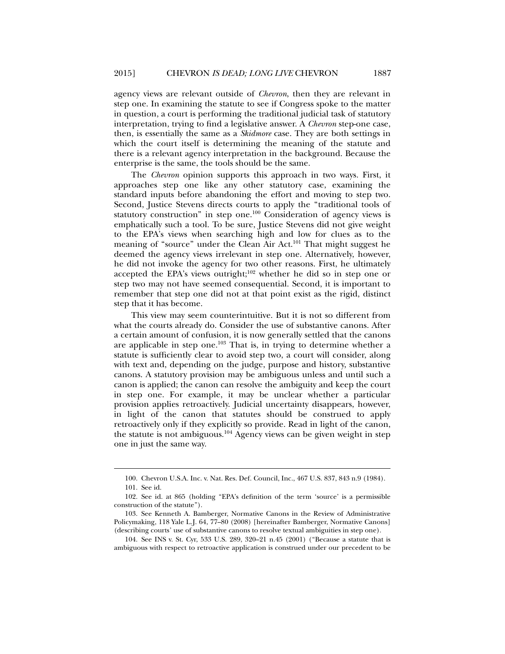agency views are relevant outside of *Chevron*, then they are relevant in step one. In examining the statute to see if Congress spoke to the matter in question, a court is performing the traditional judicial task of statutory interpretation, trying to find a legislative answer. A *Chevron* step-one case, then, is essentially the same as a *Skidmore* case. They are both settings in which the court itself is determining the meaning of the statute and there is a relevant agency interpretation in the background. Because the enterprise is the same, the tools should be the same.

The *Chevron* opinion supports this approach in two ways. First, it approaches step one like any other statutory case, examining the standard inputs before abandoning the effort and moving to step two. Second, Justice Stevens directs courts to apply the "traditional tools of statutory construction" in step one.100 Consideration of agency views is emphatically such a tool. To be sure, Justice Stevens did not give weight to the EPA's views when searching high and low for clues as to the meaning of "source" under the Clean Air Act.<sup>101</sup> That might suggest he deemed the agency views irrelevant in step one. Alternatively, however, he did not invoke the agency for two other reasons. First, he ultimately accepted the EPA's views outright; $102$  whether he did so in step one or step two may not have seemed consequential. Second, it is important to remember that step one did not at that point exist as the rigid, distinct step that it has become.

This view may seem counterintuitive. But it is not so different from what the courts already do. Consider the use of substantive canons. After a certain amount of confusion, it is now generally settled that the canons are applicable in step one.103 That is, in trying to determine whether a statute is sufficiently clear to avoid step two, a court will consider, along with text and, depending on the judge, purpose and history, substantive canons. A statutory provision may be ambiguous unless and until such a canon is applied; the canon can resolve the ambiguity and keep the court in step one. For example, it may be unclear whether a particular provision applies retroactively. Judicial uncertainty disappears, however, in light of the canon that statutes should be construed to apply retroactively only if they explicitly so provide. Read in light of the canon, the statute is not ambiguous.<sup>104</sup> Agency views can be given weight in step one in just the same way.

 <sup>100.</sup> Chevron U.S.A. Inc. v. Nat. Res. Def. Council, Inc., 467 U.S. 837, 843 n.9 (1984).

 <sup>101.</sup> See id.

 <sup>102.</sup> See id. at 865 (holding "EPA's definition of the term 'source' is a permissible construction of the statute").

 <sup>103.</sup> See Kenneth A. Bamberger, Normative Canons in the Review of Administrative Policymaking, 118 Yale L.J. 64, 77–80 (2008) [hereinafter Bamberger, Normative Canons] (describing courts' use of substantive canons to resolve textual ambiguities in step one).

 <sup>104.</sup> See INS v. St. Cyr, 533 U.S. 289, 320–21 n.45 (2001) ("Because a statute that is ambiguous with respect to retroactive application is construed under our precedent to be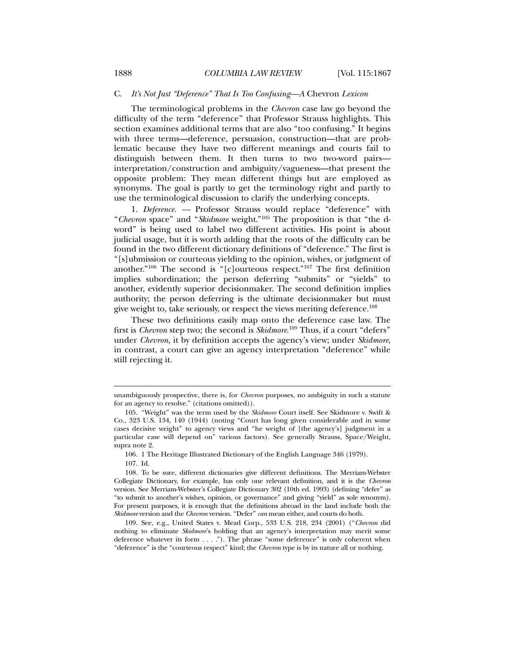### C. *It's Not Just "Deference" That Is Too Confusing—A* Chevron *Lexicon*

The terminological problems in the *Chevron* case law go beyond the difficulty of the term "deference" that Professor Strauss highlights. This section examines additional terms that are also "too confusing." It begins with three terms—deference, persuasion, construction—that are problematic because they have two different meanings and courts fail to distinguish between them. It then turns to two two-word pairs interpretation/construction and ambiguity/vagueness—that present the opposite problem: They mean different things but are employed as synonyms. The goal is partly to get the terminology right and partly to use the terminological discussion to clarify the underlying concepts.

1. *Deference. —* Professor Strauss would replace "deference" with "*Chevron* space" and "*Skidmore* weight."105 The proposition is that "the dword" is being used to label two different activities. His point is about judicial usage, but it is worth adding that the roots of the difficulty can be found in the two different dictionary definitions of "deference." The first is "[s]ubmission or courteous yielding to the opinion, wishes, or judgment of another."106 The second is "[c]ourteous respect."107 The first definition implies subordination; the person deferring "submits" or "yields" to another, evidently superior decisionmaker. The second definition implies authority; the person deferring is the ultimate decisionmaker but must give weight to, take seriously, or respect the views meriting deference.108

These two definitions easily map onto the deference case law. The first is *Chevron* step two; the second is *Skidmore*. 109 Thus, if a court "defers" under *Chevron*, it by definition accepts the agency's view; under *Skidmore*, in contrast, a court can give an agency interpretation "deference" while still rejecting it.

unambiguously prospective, there is, for *Chevron* purposes, no ambiguity in such a statute for an agency to resolve." (citations omitted)).

 <sup>105. &</sup>quot;Weight" was the term used by the *Skidmore* Court itself. See Skidmore v. Swift & Co., 323 U.S. 134, 140 (1944) (noting "Court has long given considerable and in some cases decisive weight" to agency views and "he weight of [the agency's] judgment in a particular case will depend on" various factors). See generally Strauss, Space/Weight, supra note 2.

 <sup>106. 1</sup> The Heritage Illustrated Dictionary of the English Language 346 (1979).

 <sup>107.</sup> Id.

 <sup>108.</sup> To be sure, different dictionaries give different definitions. The Merriam-Webster Collegiate Dictionary, for example, has only one relevant definition, and it is the *Chevron* version. See Merriam-Webster's Collegiate Dictionary 302 (10th ed. 1993) (defining "defer" as "to submit to another's wishes, opinion, or governance" and giving "yield" as sole synonym). For present purposes, it is enough that the definitions abroad in the land include both the *Skidmore* version and the *Chevron* version. "Defer" *can* mean either, and courts do both.

 <sup>109.</sup> See, e.g., United States v. Mead Corp., 533 U.S. 218, 234 (2001) ("*Chevron* did nothing to eliminate *Skidmore*'s holding that an agency's interpretation may merit some deference whatever its form . . . ."). The phrase "some deference" is only coherent when "deference" is the "courteous respect" kind; the *Chevron* type is by its nature all or nothing.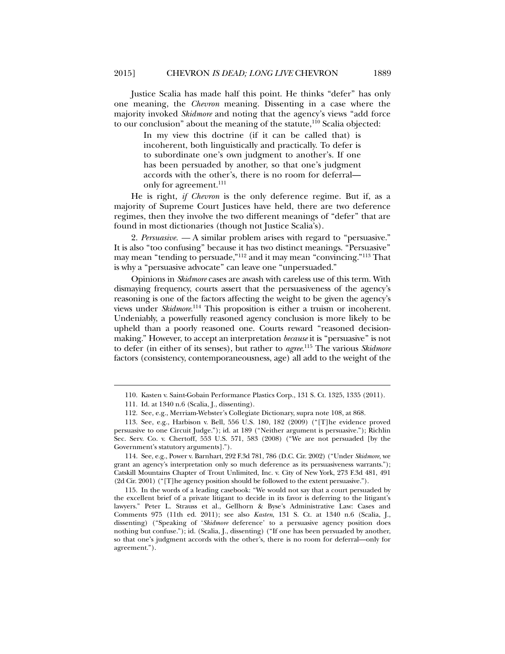Justice Scalia has made half this point. He thinks "defer" has only one meaning, the *Chevron* meaning. Dissenting in a case where the majority invoked *Skidmore* and noting that the agency's views "add force to our conclusion" about the meaning of the statute, $110$  Scalia objected:

> In my view this doctrine (if it can be called that) is incoherent, both linguistically and practically. To defer is to subordinate one's own judgment to another's. If one has been persuaded by another, so that one's judgment accords with the other's, there is no room for deferral only for agreement.<sup>111</sup>

He is right, *if Chevron* is the only deference regime. But if, as a majority of Supreme Court Justices have held, there are two deference regimes, then they involve the two different meanings of "defer" that are found in most dictionaries (though not Justice Scalia's).

2. *Persuasive. —* A similar problem arises with regard to "persuasive." It is also "too confusing" because it has two distinct meanings. "Persuasive" may mean "tending to persuade,"112 and it may mean "convincing."113 That is why a "persuasive advocate" can leave one "unpersuaded."

Opinions in *Skidmore* cases are awash with careless use of this term. With dismaying frequency, courts assert that the persuasiveness of the agency's reasoning is one of the factors affecting the weight to be given the agency's views under *Skidmore*. 114 This proposition is either a truism or incoherent. Undeniably, a powerfully reasoned agency conclusion is more likely to be upheld than a poorly reasoned one. Courts reward "reasoned decisionmaking." However, to accept an interpretation *because* it is "persuasive" is not to defer (in either of its senses), but rather to *agree*. 115 The various *Skidmore*  factors (consistency, contemporaneousness, age) all add to the weight of the

 <sup>110.</sup> Kasten v. Saint-Gobain Performance Plastics Corp., 131 S. Ct. 1325, 1335 (2011).

 <sup>111.</sup> Id. at 1340 n.6 (Scalia, J., dissenting).

 <sup>112.</sup> See, e.g., Merriam-Webster's Collegiate Dictionary, supra note 108, at 868.

 <sup>113.</sup> See, e.g., Harbison v. Bell, 556 U.S. 180, 182 (2009) ("[T]he evidence proved persuasive to one Circuit Judge."); id. at 189 ("Neither argument is persuasive."); Richlin Sec. Serv. Co. v. Chertoff, 553 U.S. 571, 583 (2008) ("We are not persuaded [by the Government's statutory arguments].").

 <sup>114.</sup> See, e.g., Power v. Barnhart, 292 F.3d 781, 786 (D.C. Cir. 2002) ("Under *Skidmore*, we grant an agency's interpretation only so much deference as its persuasiveness warrants."); Catskill Mountains Chapter of Trout Unlimited, Inc. v. City of New York, 273 F.3d 481, 491 (2d Cir. 2001) ("[T]he agency position should be followed to the extent persuasive.").

 <sup>115.</sup> In the words of a leading casebook: "We would not say that a court persuaded by the excellent brief of a private litigant to decide in its favor is deferring to the litigant's lawyers." Peter L. Strauss et al., Gellhorn & Byse's Administrative Law: Cases and Comments 975 (11th ed. 2011); see also *Kasten*, 131 S. Ct. at 1340 n.6 (Scalia, J., dissenting) ("Speaking of '*Skidmore* deference' to a persuasive agency position does nothing but confuse."); id. (Scalia, J., dissenting) ("If one has been persuaded by another, so that one's judgment accords with the other's, there is no room for deferral—only for agreement.").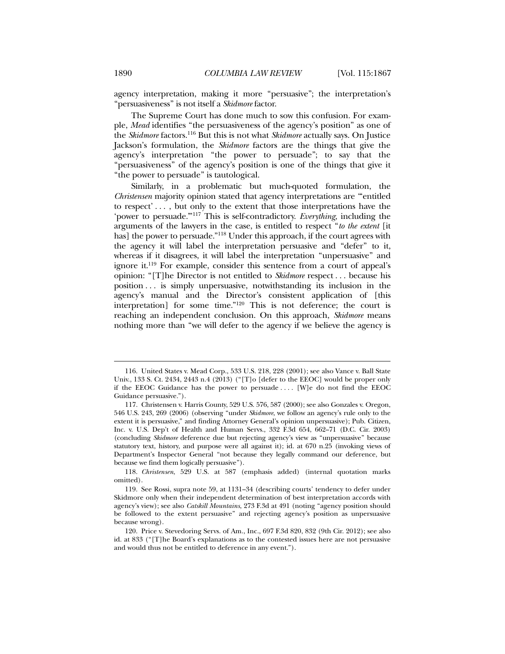agency interpretation, making it more "persuasive"; the interpretation's "persuasiveness" is not itself a *Skidmore* factor.

The Supreme Court has done much to sow this confusion. For example, *Mead* identifies "the persuasiveness of the agency's position" as one of the *Skidmore* factors.116 But this is not what *Skidmore* actually says. On Justice Jackson's formulation, the *Skidmore* factors are the things that give the agency's interpretation "the power to persuade"; to say that the "persuasiveness" of the agency's position is one of the things that give it "the power to persuade" is tautological.

Similarly, in a problematic but much-quoted formulation, the *Christensen* majority opinion stated that agency interpretations are "entitled to respect' . . . , but only to the extent that those interpretations have the 'power to persuade.'"117 This is self-contradictory. *Everything*, including the arguments of the lawyers in the case, is entitled to respect "*to the extent* [it has] the power to persuade."<sup>118</sup> Under this approach, if the court agrees with the agency it will label the interpretation persuasive and "defer" to it, whereas if it disagrees, it will label the interpretation "unpersuasive" and ignore it.119 For example, consider this sentence from a court of appeal's opinion: "[T]he Director is not entitled to *Skidmore* respect . . . because his position . . . is simply unpersuasive, notwithstanding its inclusion in the agency's manual and the Director's consistent application of [this interpretation] for some time."120 This is not deference; the court is reaching an independent conclusion. On this approach, *Skidmore* means nothing more than "we will defer to the agency if we believe the agency is

 118. *Christensen*, 529 U.S. at 587 (emphasis added) (internal quotation marks omitted).

 <sup>116.</sup> United States v. Mead Corp., 533 U.S. 218, 228 (2001); see also Vance v. Ball State Univ., 133 S. Ct. 2434, 2443 n.4 (2013) ("[T]o [defer to the EEOC] would be proper only if the EEOC Guidance has the power to persuade  $\dots$ . [W]e do not find the EEOC Guidance persuasive.").

 <sup>117.</sup> Christensen v. Harris County, 529 U.S. 576, 587 (2000); see also Gonzales v. Oregon, 546 U.S. 243, 269 (2006) (observing "under *Skidmore*, we follow an agency's rule only to the extent it is persuasive," and finding Attorney General's opinion unpersuasive); Pub. Citizen, Inc. v. U.S. Dep't of Health and Human Servs., 332 F.3d 654, 662–71 (D.C. Cir. 2003) (concluding *Skidmore* deference due but rejecting agency's view as "unpersuasive" because statutory text, history, and purpose were all against it); id. at 670 n.25 (invoking views of Department's Inspector General "not because they legally command our deference, but because we find them logically persuasive").

 <sup>119.</sup> See Rossi, supra note 59, at 1131–34 (describing courts' tendency to defer under Skidmore only when their independent determination of best interpretation accords with agency's view); see also *Catskill Mountains*, 273 F.3d at 491 (noting "agency position should be followed to the extent persuasive" and rejecting agency's position as unpersuasive because wrong).

 <sup>120.</sup> Price v. Stevedoring Servs. of Am., Inc., 697 F.3d 820, 832 (9th Cir. 2012); see also id. at 833 ("[T]he Board's explanations as to the contested issues here are not persuasive and would thus not be entitled to deference in any event.").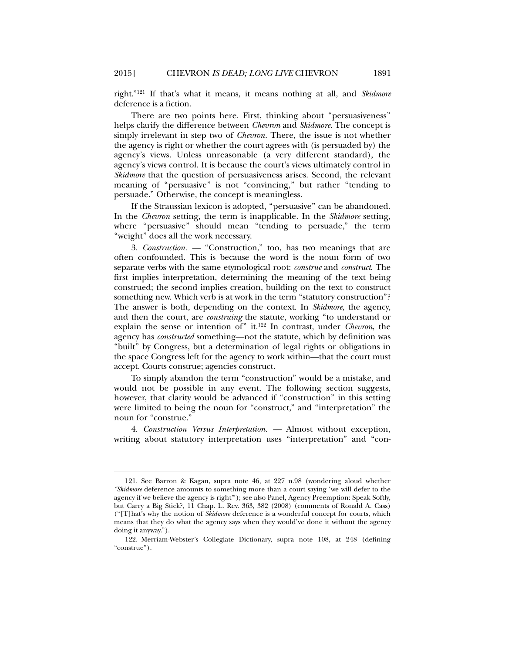right."121 If that's what it means, it means nothing at all, and *Skidmore*  deference is a fiction.

There are two points here. First, thinking about "persuasiveness" helps clarify the difference between *Chevron* and *Skidmore*. The concept is simply irrelevant in step two of *Chevron.* There, the issue is not whether the agency is right or whether the court agrees with (is persuaded by) the agency's views. Unless unreasonable (a very different standard), the agency's views control. It is because the court's views ultimately control in *Skidmore* that the question of persuasiveness arises. Second, the relevant meaning of "persuasive" is not "convincing," but rather "tending to persuade." Otherwise, the concept is meaningless.

If the Straussian lexicon is adopted, "persuasive" can be abandoned. In the *Chevron* setting, the term is inapplicable. In the *Skidmore* setting, where "persuasive" should mean "tending to persuade," the term "weight" does all the work necessary.

3. *Construction. —* "Construction," too, has two meanings that are often confounded. This is because the word is the noun form of two separate verbs with the same etymological root: *construe* and *construct*. The first implies interpretation, determining the meaning of the text being construed; the second implies creation, building on the text to construct something new. Which verb is at work in the term "statutory construction"? The answer is both, depending on the context. In *Skidmore*, the agency, and then the court, are *construing* the statute, working "to understand or explain the sense or intention of" it.122 In contrast, under *Chevron*, the agency has *constructed* something—not the statute, which by definition was "built" by Congress, but a determination of legal rights or obligations in the space Congress left for the agency to work within—that the court must accept. Courts construe; agencies construct.

To simply abandon the term "construction" would be a mistake, and would not be possible in any event. The following section suggests, however, that clarity would be advanced if "construction" in this setting were limited to being the noun for "construct," and "interpretation" the noun for "construe."

4. *Construction Versus Interpretation. —* Almost without exception, writing about statutory interpretation uses "interpretation" and "con-

 <sup>121.</sup> See Barron & Kagan, supra note 46, at 227 n.98 (wondering aloud whether *"Skidmore* deference amounts to something more than a court saying 'we will defer to the agency if we believe the agency is right'"); see also Panel, Agency Preemption: Speak Softly, but Carry a Big Stick?, 11 Chap. L. Rev. 363, 382 (2008) (comments of Ronald A. Cass) ("[T]hat's why the notion of *Skidmore* deference is a wonderful concept for courts, which means that they do what the agency says when they would've done it without the agency doing it anyway.").

 <sup>122.</sup> Merriam-Webster's Collegiate Dictionary, supra note 108, at 248 (defining "construe").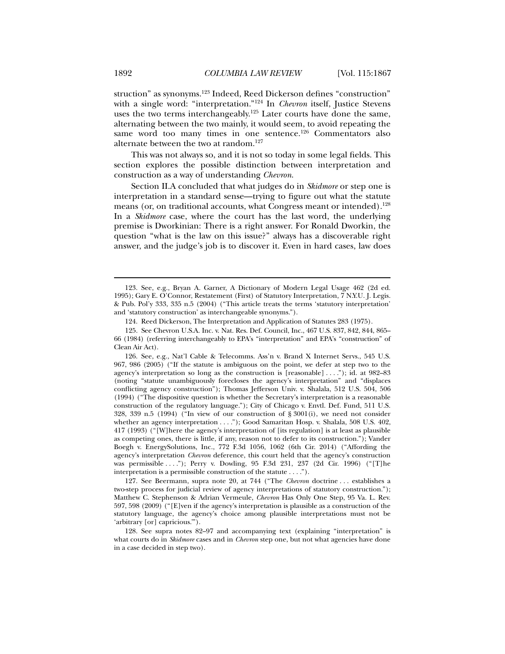struction" as synonyms.123 Indeed, Reed Dickerson defines "construction" with a single word: "interpretation."124 In *Chevron* itself, Justice Stevens uses the two terms interchangeably.<sup>125</sup> Later courts have done the same, alternating between the two mainly, it would seem, to avoid repeating the same word too many times in one sentence.<sup>126</sup> Commentators also alternate between the two at random.127

This was not always so, and it is not so today in some legal fields. This section explores the possible distinction between interpretation and construction as a way of understanding *Chevron*.

Section II.A concluded that what judges do in *Skidmore* or step one is interpretation in a standard sense—trying to figure out what the statute means (or, on traditional accounts, what Congress meant or intended).<sup>128</sup> In a *Skidmore* case, where the court has the last word, the underlying premise is Dworkinian: There is a right answer. For Ronald Dworkin, the question "what is the law on this issue?" always has a discoverable right answer, and the judge's job is to discover it. Even in hard cases, law does

 <sup>123.</sup> See, e.g., Bryan A. Garner, A Dictionary of Modern Legal Usage 462 (2d ed. 1995); Gary E. O'Connor, Restatement (First) of Statutory Interpretation, 7 N.Y.U. J. Legis. & Pub. Pol'y 333, 335 n.5 (2004) ("This article treats the terms 'statutory interpretation' and 'statutory construction' as interchangeable synonyms.").

 <sup>124.</sup> Reed Dickerson, The Interpretation and Application of Statutes 283 (1975).

 <sup>125.</sup> See Chevron U.S.A. Inc. v. Nat. Res. Def. Council, Inc., 467 U.S. 837, 842, 844, 865– 66 (1984) (referring interchangeably to EPA's "interpretation" and EPA's "construction" of Clean Air Act).

 <sup>126.</sup> See, e.g., Nat'l Cable & Telecomms. Ass'n v. Brand X Internet Servs., 545 U.S. 967, 986 (2005) ("If the statute is ambiguous on the point, we defer at step two to the agency's interpretation so long as the construction is [reasonable] . . . ."); id. at 982–83 (noting "statute unambiguously forecloses the agency's interpretation" and "displaces conflicting agency construction"); Thomas Jefferson Univ. v. Shalala, 512 U.S. 504, 506 (1994) ("The dispositive question is whether the Secretary's interpretation is a reasonable construction of the regulatory language."); City of Chicago v. Envtl. Def. Fund, 511 U.S. 328, 339 n.5 (1994) ("In view of our construction of  $\S 3001(i)$ , we need not consider whether an agency interpretation . . . ."); Good Samaritan Hosp. v. Shalala, 508 U.S. 402, 417 (1993) ("[W]here the agency's interpretation of [its regulation] is at least as plausible as competing ones, there is little, if any, reason not to defer to its construction."); Vander Boegh v. EnergySolutions, Inc., 772 F.3d 1056, 1062 (6th Cir. 2014) ("Affording the agency's interpretation *Chevron* deference, this court held that the agency's construction was permissible . . . ."); Perry v. Dowling, 95 F.3d 231, 237 (2d Cir. 1996) ("[T]he interpretation is a permissible construction of the statute . . . .").

 <sup>127.</sup> See Beermann, supra note 20, at 744 ("The *Chevron* doctrine . . . establishes a two-step process for judicial review of agency interpretations of statutory construction."); Matthew C. Stephenson & Adrian Vermeule, *Chevron* Has Only One Step, 95 Va. L. Rev. 597, 598 (2009) ("[E]ven if the agency's interpretation is plausible as a construction of the statutory language, the agency's choice among plausible interpretations must not be 'arbitrary [or] capricious.'").

 <sup>128.</sup> See supra notes 82–97 and accompanying text (explaining "interpretation" is what courts do in *Skidmore* cases and in *Chevron* step one, but not what agencies have done in a case decided in step two).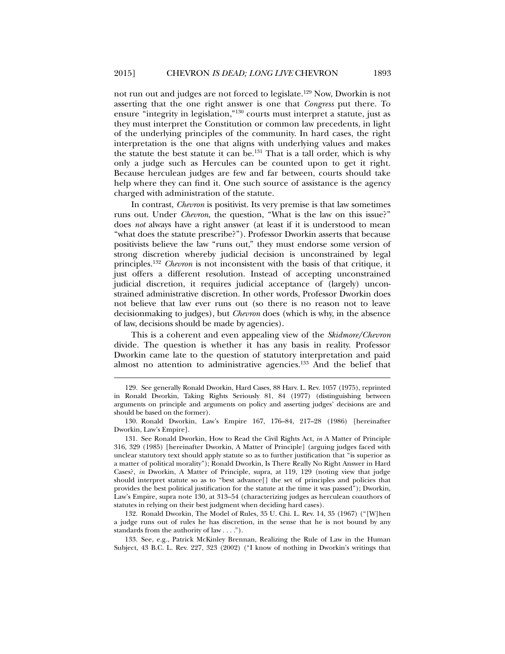not run out and judges are not forced to legislate.129 Now, Dworkin is not asserting that the one right answer is one that *Congress* put there. To ensure "integrity in legislation,"130 courts must interpret a statute, just as they must interpret the Constitution or common law precedents, in light of the underlying principles of the community. In hard cases, the right interpretation is the one that aligns with underlying values and makes the statute the best statute it can be.<sup>131</sup> That is a tall order, which is why only a judge such as Hercules can be counted upon to get it right. Because herculean judges are few and far between, courts should take help where they can find it. One such source of assistance is the agency charged with administration of the statute.

In contrast, *Chevron* is positivist. Its very premise is that law sometimes runs out. Under *Chevron*, the question, "What is the law on this issue?" does *not* always have a right answer (at least if it is understood to mean "what does the statute prescribe?"). Professor Dworkin asserts that because positivists believe the law "runs out," they must endorse some version of strong discretion whereby judicial decision is unconstrained by legal principles.132 *Chevron* is not inconsistent with the basis of that critique, it just offers a different resolution. Instead of accepting unconstrained judicial discretion, it requires judicial acceptance of (largely) unconstrained administrative discretion. In other words, Professor Dworkin does not believe that law ever runs out (so there is no reason not to leave decisionmaking to judges), but *Chevron* does (which is why, in the absence of law, decisions should be made by agencies).

This is a coherent and even appealing view of the *Skidmore/Chevron* divide. The question is whether it has any basis in reality. Professor Dworkin came late to the question of statutory interpretation and paid almost no attention to administrative agencies.133 And the belief that

l

 132. Ronald Dworkin, The Model of Rules, 35 U. Chi. L. Rev. 14, 35 (1967) ("[W]hen a judge runs out of rules he has discretion, in the sense that he is not bound by any standards from the authority of law . . . .").

 133. See, e.g., Patrick McKinley Brennan, Realizing the Rule of Law in the Human Subject, 43 B.C. L. Rev. 227, 323 (2002) ("I know of nothing in Dworkin's writings that

 <sup>129.</sup> See generally Ronald Dworkin, Hard Cases, 88 Harv. L. Rev. 1057 (1975), reprinted in Ronald Dworkin, Taking Rights Seriously 81, 84 (1977) (distinguishing between arguments on principle and arguments on policy and asserting judges' decisions are and should be based on the former).

 <sup>130.</sup> Ronald Dworkin, Law's Empire 167, 176–84, 217–28 (1986) [hereinafter Dworkin, Law's Empire].

 <sup>131.</sup> See Ronald Dworkin, How to Read the Civil Rights Act, *in* A Matter of Principle 316, 329 (1985) [hereinafter Dworkin, A Matter of Principle] (arguing judges faced with unclear statutory text should apply statute so as to further justification that "is superior as a matter of political morality"); Ronald Dworkin, Is There Really No Right Answer in Hard Cases?*, in* Dworkin, A Matter of Principle, supra, at 119, 129 (noting view that judge should interpret statute so as to "best advance[] the set of principles and policies that provides the best political justification for the statute at the time it was passed"); Dworkin, Law's Empire, supra note 130, at 313–54 (characterizing judges as herculean coauthors of statutes in relying on their best judgment when deciding hard cases).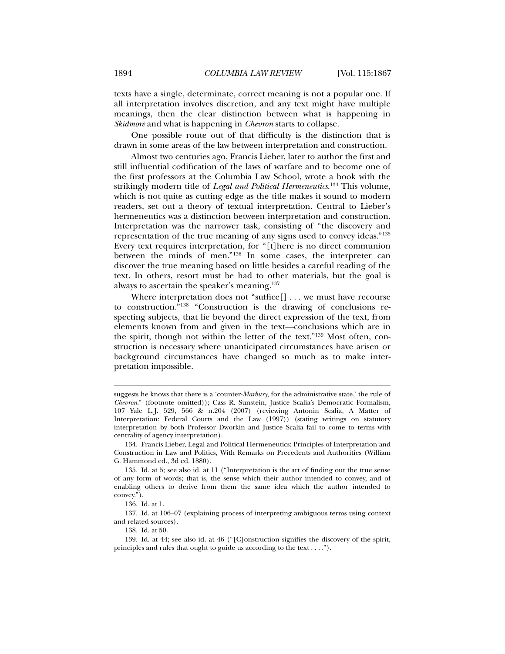all interpretation involves discretion, and any text might have multiple meanings, then the clear distinction between what is happening in *Skidmore* and what is happening in *Chevron* starts to collapse.

One possible route out of that difficulty is the distinction that is drawn in some areas of the law between interpretation and construction.

Almost two centuries ago, Francis Lieber, later to author the first and still influential codification of the laws of warfare and to become one of the first professors at the Columbia Law School, wrote a book with the strikingly modern title of *Legal and Political Hermeneutics*. 134 This volume, which is not quite as cutting edge as the title makes it sound to modern readers, set out a theory of textual interpretation. Central to Lieber's hermeneutics was a distinction between interpretation and construction. Interpretation was the narrower task, consisting of "the discovery and representation of the true meaning of any signs used to convey ideas."135 Every text requires interpretation, for "[t]here is no direct communion between the minds of men."136 In some cases, the interpreter can discover the true meaning based on little besides a careful reading of the text. In others, resort must be had to other materials, but the goal is always to ascertain the speaker's meaning.137

Where interpretation does not "suffice[] . . . we must have recourse to construction."138 "Construction is the drawing of conclusions respecting subjects, that lie beyond the direct expression of the text, from elements known from and given in the text—conclusions which are in the spirit, though not within the letter of the text."139 Most often, construction is necessary where unanticipated circumstances have arisen or background circumstances have changed so much as to make interpretation impossible.

suggests he knows that there is a 'counter-*Marbury*, for the administrative state,' the rule of *Chevron*." (footnote omitted)); Cass R. Sunstein, Justice Scalia's Democratic Formalism, 107 Yale L.J. 529, 566 & n.204 (2007) (reviewing Antonin Scalia, A Matter of Interpretation: Federal Courts and the Law (1997)) (stating writings on statutory interpretation by both Professor Dworkin and Justice Scalia fail to come to terms with centrality of agency interpretation).

 <sup>134.</sup> Francis Lieber, Legal and Political Hermeneutics: Principles of Interpretation and Construction in Law and Politics, With Remarks on Precedents and Authorities (William G. Hammond ed., 3d ed. 1880).

 <sup>135.</sup> Id. at 5; see also id. at 11 ("Interpretation is the art of finding out the true sense of any form of words; that is, the sense which their author intended to convey, and of enabling others to derive from them the same idea which the author intended to convey.").

 <sup>136.</sup> Id. at 1.

 <sup>137.</sup> Id. at 106–07 (explaining process of interpreting ambiguous terms using context and related sources).

 <sup>138.</sup> Id. at 50.

 <sup>139.</sup> Id. at 44; see also id. at 46 ("[C]onstruction signifies the discovery of the spirit, principles and rules that ought to guide us according to the text . . . .").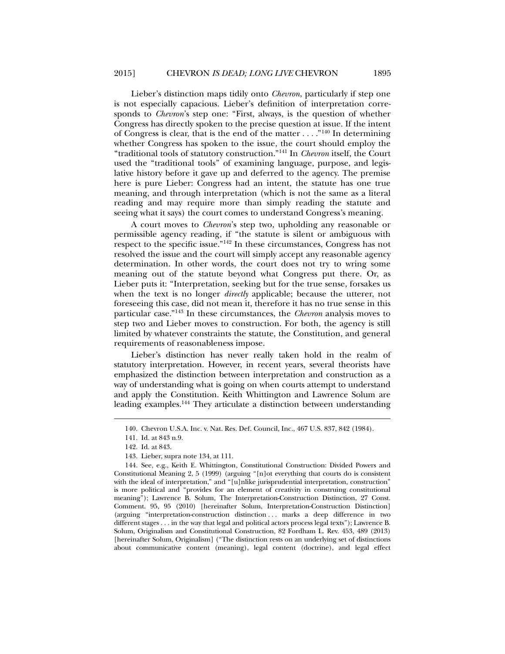Lieber's distinction maps tidily onto *Chevron*, particularly if step one is not especially capacious. Lieber's definition of interpretation corresponds to *Chevron*'s step one: "First, always, is the question of whether Congress has directly spoken to the precise question at issue. If the intent of Congress is clear, that is the end of the matter . . . ."140 In determining whether Congress has spoken to the issue, the court should employ the "traditional tools of statutory construction."141 In *Chevron* itself, the Court used the "traditional tools" of examining language, purpose, and legislative history before it gave up and deferred to the agency. The premise here is pure Lieber: Congress had an intent, the statute has one true meaning, and through interpretation (which is not the same as a literal reading and may require more than simply reading the statute and seeing what it says) the court comes to understand Congress's meaning.

A court moves to *Chevron*'s step two, upholding any reasonable or permissible agency reading, if "the statute is silent or ambiguous with respect to the specific issue."142 In these circumstances, Congress has not resolved the issue and the court will simply accept any reasonable agency determination. In other words, the court does not try to wring some meaning out of the statute beyond what Congress put there. Or, as Lieber puts it: "Interpretation, seeking but for the true sense, forsakes us when the text is no longer *directly* applicable; because the utterer, not foreseeing this case, did not mean it, therefore it has no true sense in this particular case."143 In these circumstances, the *Chevron* analysis moves to step two and Lieber moves to construction. For both, the agency is still limited by whatever constraints the statute, the Constitution, and general requirements of reasonableness impose.

Lieber's distinction has never really taken hold in the realm of statutory interpretation. However, in recent years, several theorists have emphasized the distinction between interpretation and construction as a way of understanding what is going on when courts attempt to understand and apply the Constitution. Keith Whittington and Lawrence Solum are leading examples.144 They articulate a distinction between understanding

 <sup>140.</sup> Chevron U.S.A. Inc. v. Nat. Res. Def. Council, Inc., 467 U.S. 837, 842 (1984).

 <sup>141.</sup> Id. at 843 n.9.

 <sup>142.</sup> Id. at 843.

 <sup>143.</sup> Lieber, supra note 134, at 111.

 <sup>144.</sup> See, e.g., Keith E. Whittington, Constitutional Construction: Divided Powers and Constitutional Meaning 2, 5 (1999) (arguing "[n]ot everything that courts do is consistent with the ideal of interpretation," and "[u]nlike jurisprudential interpretation, construction" is more political and "provides for an element of creativity in construing constitutional meaning"); Lawrence B. Solum, The Interpretation-Construction Distinction, 27 Const. Comment. 95, 95 (2010) [hereinafter Solum, Interpretation-Construction Distinction] (arguing "interpretation-construction distinction . . . marks a deep difference in two different stages . . . in the way that legal and political actors process legal texts"); Lawrence B. Solum, Originalism and Constitutional Construction, 82 Fordham L. Rev. 453, 489 (2013) [hereinafter Solum, Originalism] ("The distinction rests on an underlying set of distinctions about communicative content (meaning), legal content (doctrine), and legal effect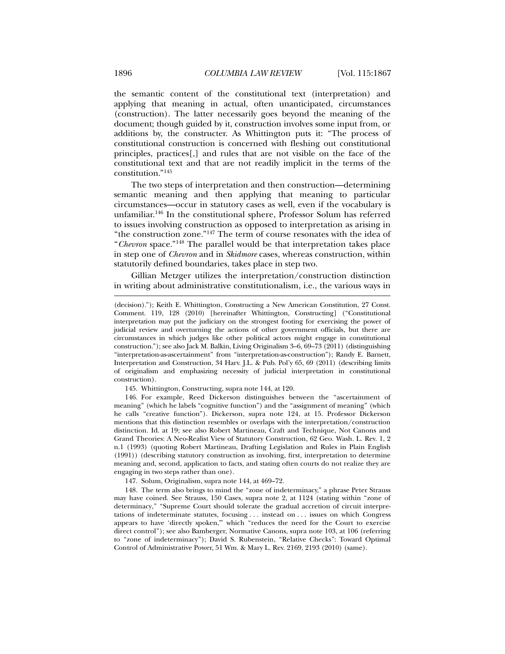the semantic content of the constitutional text (interpretation) and applying that meaning in actual, often unanticipated, circumstances (construction). The latter necessarily goes beyond the meaning of the document; though guided by it, construction involves some input from, or additions by, the constructer. As Whittington puts it: "The process of constitutional construction is concerned with fleshing out constitutional principles, practices[,] and rules that are not visible on the face of the constitutional text and that are not readily implicit in the terms of the constitution."145

The two steps of interpretation and then construction—determining semantic meaning and then applying that meaning to particular circumstances—occur in statutory cases as well, even if the vocabulary is unfamiliar.146 In the constitutional sphere, Professor Solum has referred to issues involving construction as opposed to interpretation as arising in "the construction zone."147 The term of course resonates with the idea of "*Chevron* space."148 The parallel would be that interpretation takes place in step one of *Chevron* and in *Skidmore* cases, whereas construction, within statutorily defined boundaries, takes place in step two.

Gillian Metzger utilizes the interpretation/construction distinction in writing about administrative constitutionalism, i.e., the various ways in

145. Whittington, Constructing, supra note 144, at 120.

 146. For example, Reed Dickerson distinguishes between the "ascertainment of meaning" (which he labels "cognitive function") and the "assignment of meaning" (which he calls "creative function"). Dickerson, supra note 124, at 15. Professor Dickerson mentions that this distinction resembles or overlaps with the interpretation/construction distinction. Id. at 19; see also Robert Martineau, Craft and Technique, Not Canons and Grand Theories: A Neo-Realist View of Statutory Construction, 62 Geo. Wash. L. Rev. 1, 2 n.1 (1993) (quoting Robert Martineau, Drafting Legislation and Rules in Plain English (1991)) (describing statutory construction as involving, first, interpretation to determine meaning and, second, application to facts, and stating often courts do not realize they are engaging in two steps rather than one).

147. Solum, Originalism, supra note 144, at 469–72.

 148. The term also brings to mind the "zone of indeterminacy," a phrase Peter Strauss may have coined. See Strauss, 150 Cases, supra note 2, at 1124 (stating within "zone of determinacy," "Supreme Court should tolerate the gradual accretion of circuit interpretations of indeterminate statutes, focusing . . . instead on . . . issues on which Congress appears to have 'directly spoken,'" which "reduces the need for the Court to exercise direct control"); see also Bamberger, Normative Canons, supra note 103, at 106 (referring to "zone of indeterminacy"); David S. Rubenstein, "Relative Checks": Toward Optimal Control of Administrative Power, 51 Wm. & Mary L. Rev. 2169, 2193 (2010) (same).

<sup>(</sup>decision)."); Keith E. Whittington, Constructing a New American Constitution, 27 Const. Comment. 119, 128 (2010) [hereinafter Whittington, Constructing] ("Constitutional interpretation may put the judiciary on the strongest footing for exercising the power of judicial review and overturning the actions of other government officials, but there are circumstances in which judges like other political actors might engage in constitutional construction."); see also Jack M. Balkin, Living Originalism 3–6, 69–73 (2011) (distinguishing "interpretation-as-ascertainment" from "interpretation-as-construction"); Randy E. Barnett, Interpretation and Construction, 34 Harv. J.L. & Pub. Pol'y 65, 69 (2011) (describing limits of originalism and emphasizing necessity of judicial interpretation in constitutional construction).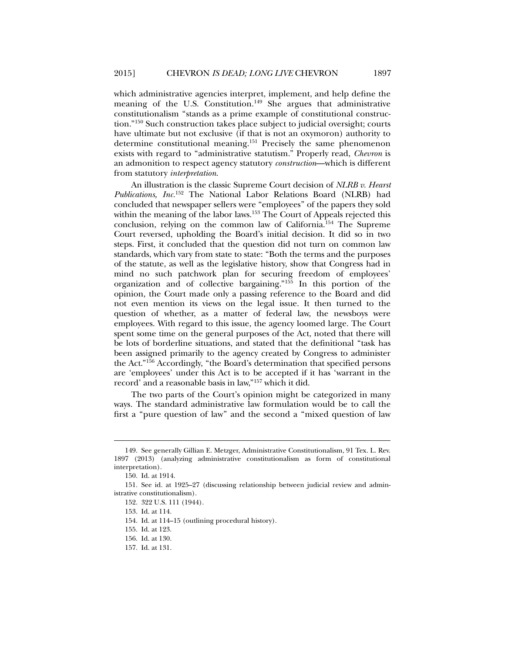which administrative agencies interpret, implement, and help define the meaning of the U.S. Constitution.<sup>149</sup> She argues that administrative constitutionalism "stands as a prime example of constitutional construction."150 Such construction takes place subject to judicial oversight; courts have ultimate but not exclusive (if that is not an oxymoron) authority to determine constitutional meaning.<sup>151</sup> Precisely the same phenomenon exists with regard to "administrative statutism." Properly read, *Chevron* is an admonition to respect agency statutory *construction*—which is different from statutory *interpretation*.

An illustration is the classic Supreme Court decision of *NLRB v. Hearst Publications, Inc.*152 The National Labor Relations Board (NLRB) had concluded that newspaper sellers were "employees" of the papers they sold within the meaning of the labor laws.<sup>153</sup> The Court of Appeals rejected this conclusion, relying on the common law of California.154 The Supreme Court reversed, upholding the Board's initial decision. It did so in two steps. First, it concluded that the question did not turn on common law standards, which vary from state to state: "Both the terms and the purposes of the statute, as well as the legislative history, show that Congress had in mind no such patchwork plan for securing freedom of employees' organization and of collective bargaining."155 In this portion of the opinion, the Court made only a passing reference to the Board and did not even mention its views on the legal issue. It then turned to the question of whether, as a matter of federal law, the newsboys were employees. With regard to this issue, the agency loomed large. The Court spent some time on the general purposes of the Act, noted that there will be lots of borderline situations, and stated that the definitional "task has been assigned primarily to the agency created by Congress to administer the Act."156 Accordingly, "the Board's determination that specified persons are 'employees' under this Act is to be accepted if it has 'warrant in the record' and a reasonable basis in law,"157 which it did.

The two parts of the Court's opinion might be categorized in many ways. The standard administrative law formulation would be to call the first a "pure question of law" and the second a "mixed question of law

 <sup>149.</sup> See generally Gillian E. Metzger, Administrative Constitutionalism, 91 Tex. L. Rev. 1897 (2013) (analyzing administrative constitutionalism as form of constitutional interpretation).

 <sup>150.</sup> Id. at 1914.

 <sup>151.</sup> See id. at 1925–27 (discussing relationship between judicial review and administrative constitutionalism).

 <sup>152. 322</sup> U.S. 111 (1944).

 <sup>153.</sup> Id. at 114.

 <sup>154.</sup> Id. at 114–15 (outlining procedural history).

 <sup>155.</sup> Id. at 123.

 <sup>156.</sup> Id. at 130.

 <sup>157.</sup> Id. at 131.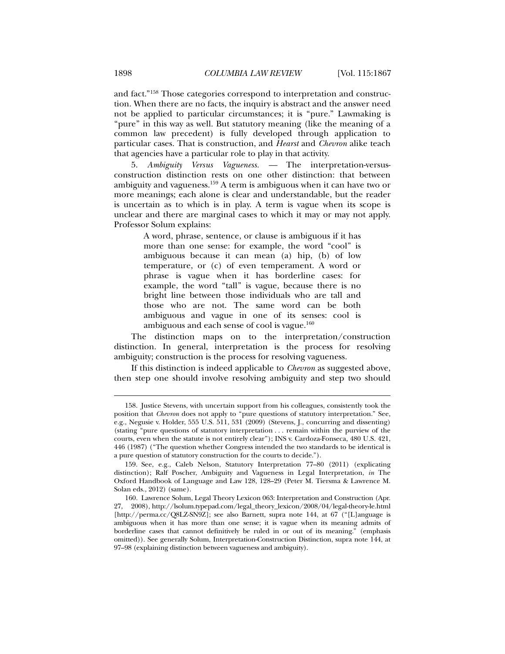and fact."158 Those categories correspond to interpretation and construction. When there are no facts, the inquiry is abstract and the answer need not be applied to particular circumstances; it is "pure." Lawmaking is "pure" in this way as well. But statutory meaning (like the meaning of a common law precedent) is fully developed through application to particular cases. That is construction, and *Hearst* and *Chevron* alike teach that agencies have a particular role to play in that activity.

5. *Ambiguity Versus Vagueness. —* The interpretation-versusconstruction distinction rests on one other distinction: that between ambiguity and vagueness.159 A term is ambiguous when it can have two or more meanings; each alone is clear and understandable, but the reader is uncertain as to which is in play. A term is vague when its scope is unclear and there are marginal cases to which it may or may not apply. Professor Solum explains:

> A word, phrase, sentence, or clause is ambiguous if it has more than one sense: for example, the word "cool" is ambiguous because it can mean (a) hip, (b) of low temperature, or (c) of even temperament. A word or phrase is vague when it has borderline cases: for example, the word "tall" is vague, because there is no bright line between those individuals who are tall and those who are not. The same word can be both ambiguous and vague in one of its senses: cool is ambiguous and each sense of cool is vague. $160$

The distinction maps on to the interpretation/construction distinction. In general, interpretation is the process for resolving ambiguity; construction is the process for resolving vagueness.

If this distinction is indeed applicable to *Chevron* as suggested above, then step one should involve resolving ambiguity and step two should

 <sup>158.</sup> Justice Stevens, with uncertain support from his colleagues, consistently took the position that *Chevron* does not apply to "pure questions of statutory interpretation." See, e.g., Negusie v. Holder, 555 U.S. 511, 531 (2009) (Stevens, J., concurring and dissenting) (stating "pure questions of statutory interpretation . . . remain within the purview of the courts, even when the statute is not entirely clear"); INS v. Cardoza-Fonseca, 480 U.S. 421, 446 (1987) ("The question whether Congress intended the two standards to be identical is a pure question of statutory construction for the courts to decide.").

 <sup>159.</sup> See, e.g., Caleb Nelson, Statutory Interpretation 77–80 (2011) (explicating distinction); Ralf Poscher, Ambiguity and Vagueness in Legal Interpretation, *in* The Oxford Handbook of Language and Law 128, 128–29 (Peter M. Tiersma & Lawrence M. Solan eds., 2012) (same).

 <sup>160.</sup> Lawrence Solum, Legal Theory Lexicon 063: Interpretation and Construction (Apr. 27, 2008), http://lsolum.typepad.com/legal\_theory\_lexicon/2008/04/legal-theory-le.html [http://perma.cc/Q8LZ-SN9Z]; see also Barnett, supra note 144, at 67 ("[L]anguage is ambiguous when it has more than one sense; it is vague when its meaning admits of borderline cases that cannot definitively be ruled in or out of its meaning." (emphasis omitted)). See generally Solum, Interpretation-Construction Distinction, supra note 144, at 97–98 (explaining distinction between vagueness and ambiguity).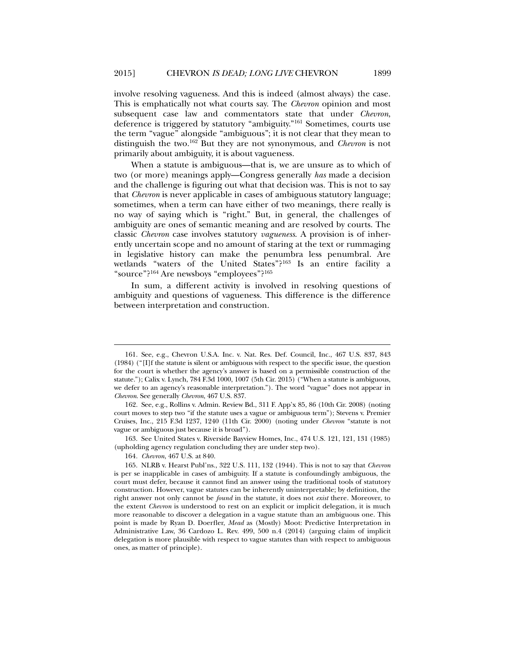involve resolving vagueness. And this is indeed (almost always) the case. This is emphatically not what courts say. The *Chevron* opinion and most subsequent case law and commentators state that under *Chevron*, deference is triggered by statutory "ambiguity."161 Sometimes, courts use the term "vague" alongside "ambiguous"; it is not clear that they mean to distinguish the two.162 But they are not synonymous, and *Chevron* is not primarily about ambiguity, it is about vagueness.

When a statute is ambiguous—that is, we are unsure as to which of two (or more) meanings apply—Congress generally *has* made a decision and the challenge is figuring out what that decision was. This is not to say that *Chevron* is never applicable in cases of ambiguous statutory language; sometimes, when a term can have either of two meanings, there really is no way of saying which is "right." But, in general, the challenges of ambiguity are ones of semantic meaning and are resolved by courts. The classic *Chevron* case involves statutory *vagueness*. A provision is of inherently uncertain scope and no amount of staring at the text or rummaging in legislative history can make the penumbra less penumbral. Are wetlands "waters of the United States"?<sup>163</sup> Is an entire facility a "source"?164 Are newsboys "employees"?165

In sum, a different activity is involved in resolving questions of ambiguity and questions of vagueness. This difference is the difference between interpretation and construction.

 163. See United States v. Riverside Bayview Homes, Inc., 474 U.S. 121, 121, 131 (1985) (upholding agency regulation concluding they are under step two).

164*. Chevron*, 467 U.S. at 840.

 <sup>161.</sup> See, e.g., Chevron U.S.A. Inc. v. Nat. Res. Def. Council, Inc., 467 U.S. 837, 843 (1984) ("[I]f the statute is silent or ambiguous with respect to the specific issue, the question for the court is whether the agency's answer is based on a permissible construction of the statute."); Calix v. Lynch, 784 F.3d 1000, 1007 (5th Cir. 2015) ("When a statute is ambiguous, we defer to an agency's reasonable interpretation."). The word "vague" does not appear in *Chevron*. See generally *Chevron*, 467 U.S. 837.

 <sup>162.</sup> See, e.g., Rollins v. Admin. Review Bd., 311 F. App'x 85, 86 (10th Cir. 2008) (noting court moves to step two "if the statute uses a vague or ambiguous term"); Stevens v. Premier Cruises, Inc., 215 F.3d 1237, 1240 (11th Cir. 2000) (noting under *Chevron* "statute is not vague or ambiguous just because it is broad").

 <sup>165.</sup> NLRB v. Hearst Publ'ns., 322 U.S. 111, 132 (1944). This is not to say that *Chevron*  is per se inapplicable in cases of ambiguity. If a statute is confoundingly ambiguous, the court must defer, because it cannot find an answer using the traditional tools of statutory construction. However, vague statutes can be inherently uninterpretable; by definition, the right answer not only cannot be *found* in the statute, it does not *exist* there*.* Moreover, to the extent *Chevron* is understood to rest on an explicit or implicit delegation, it is much more reasonable to discover a delegation in a vague statute than an ambiguous one. This point is made by Ryan D. Doerfler, *Mead* as (Mostly) Moot: Predictive Interpretation in Administrative Law, 36 Cardozo L. Rev. 499, 500 n.4 (2014) (arguing claim of implicit delegation is more plausible with respect to vague statutes than with respect to ambiguous ones, as matter of principle).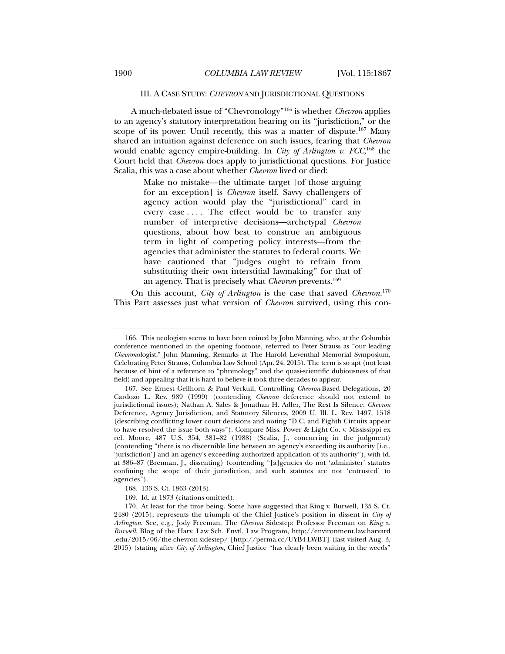# III. A CASE STUDY: *CHEVRON* AND JURISDICTIONAL QUESTIONS

A much-debated issue of "Chevronology"166 is whether *Chevron* applies to an agency's statutory interpretation bearing on its "jurisdiction," or the scope of its power. Until recently, this was a matter of dispute.<sup>167</sup> Many shared an intuition against deference on such issues, fearing that *Chevron*  would enable agency empire-building. In *City of Arlington v. FCC*, 168 the Court held that *Chevron* does apply to jurisdictional questions. For Justice Scalia, this was a case about whether *Chevron* lived or died:

> Make no mistake—the ultimate target [of those arguing for an exception] is *Chevron* itself. Savvy challengers of agency action would play the "jurisdictional" card in every case .... The effect would be to transfer any number of interpretive decisions—archetypal *Chevron* questions, about how best to construe an ambiguous term in light of competing policy interests—from the agencies that administer the statutes to federal courts. We have cautioned that "judges ought to refrain from substituting their own interstitial lawmaking" for that of an agency. That is precisely what *Chevron* prevents.<sup>169</sup>

On this account, *City of Arlington* is the case that saved *Chevron*. 170 This Part assesses just what version of *Chevron* survived, using this con-

 <sup>166.</sup> This neologism seems to have been coined by John Manning, who, at the Columbia conference mentioned in the opening footnote, referred to Peter Strauss as "our leading *Chevron*ologist." John Manning, Remarks at The Harold Leventhal Memorial Symposium, Celebrating Peter Strauss, Columbia Law School (Apr. 24, 2015). The term is so apt (not least because of hint of a reference to "phrenology" and the quasi-scientific dubiousness of that field) and appealing that it is hard to believe it took three decades to appear.

 <sup>167.</sup> See Ernest Gellhorn & Paul Verkuil, Controlling *Chevron*-Based Delegations, 20 Cardozo L. Rev. 989 (1999) (contending *Chevron* deference should not extend to jurisdictional issues); Nathan A. Sales & Jonathan H. Adler, The Rest Is Silence: *Chevron* Deference, Agency Jurisdiction, and Statutory Silences, 2009 U. Ill. L. Rev. 1497, 1518 (describing conflicting lower court decisions and noting "D.C. and Eighth Circuits appear to have resolved the issue both ways"). Compare Miss. Power & Light Co. v. Mississippi ex rel. Moore, 487 U.S. 354, 381–82 (1988) (Scalia, J., concurring in the judgment) (contending "there is no discernible line between an agency's exceeding its authority [i.e., 'jurisdiction'] and an agency's exceeding authorized application of its authority"), with id. at 386–87 (Brennan, J., dissenting) (contending "[a]gencies do not 'administer' statutes confining the scope of their jurisdiction, and such statutes are not 'entrusted' to agencies").

 <sup>168. 133</sup> S. Ct. 1863 (2013).

 <sup>169.</sup> Id. at 1873 (citations omitted).

 <sup>170.</sup> At least for the time being. Some have suggested that King v. Burwell, 135 S. Ct. 2480 (2015), represents the triumph of the Chief Justice's position in dissent in *City of Arlington*. See, e.g., Jody Freeman, The *Chevron* Sidestep: Professor Freeman on *King v. Burwell*, Blog of the Harv. Law Sch. Envtl. Law Program, http://environment.law.harvard .edu/2015/06/the-chevron-sidestep/ [http://perma.cc/UYB4-LWBT] (last visited Aug. 3, 2015) (stating after *City of Arlington*, Chief Justice "has clearly been waiting in the weeds"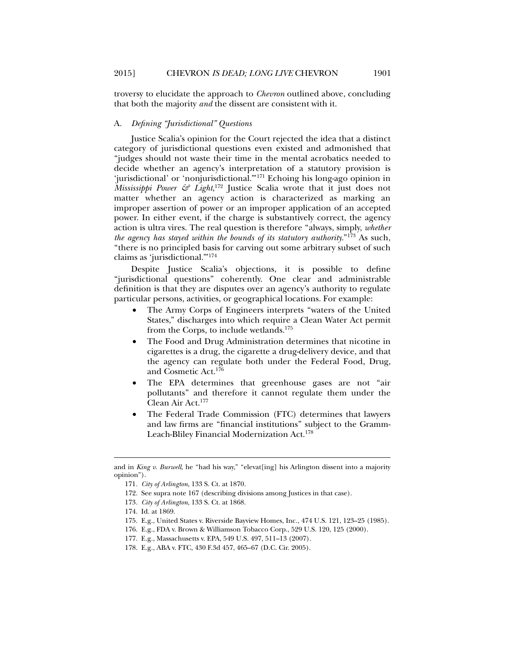troversy to elucidate the approach to *Chevron* outlined above, concluding that both the majority *and* the dissent are consistent with it.

### A. *Defining "Jurisdictional" Questions*

Justice Scalia's opinion for the Court rejected the idea that a distinct category of jurisdictional questions even existed and admonished that "judges should not waste their time in the mental acrobatics needed to decide whether an agency's interpretation of a statutory provision is 'jurisdictional' or 'nonjurisdictional.'"171 Echoing his long-ago opinion in *Mississippi Power & Light*, <sup>172</sup> Justice Scalia wrote that it just does not matter whether an agency action is characterized as marking an improper assertion of power or an improper application of an accepted power. In either event, if the charge is substantively correct, the agency action is ultra vires. The real question is therefore "always, simply, *whether the agency has stayed within the bounds of its statutory authority*."173 As such, "there is no principled basis for carving out some arbitrary subset of such claims as 'jurisdictional.'"174

Despite Justice Scalia's objections, it is possible to define "jurisdictional questions" coherently. One clear and administrable definition is that they are disputes over an agency's authority to regulate particular persons, activities, or geographical locations. For example:

- The Army Corps of Engineers interprets "waters of the United States," discharges into which require a Clean Water Act permit from the Corps, to include wetlands.175
- The Food and Drug Administration determines that nicotine in cigarettes is a drug, the cigarette a drug-delivery device, and that the agency can regulate both under the Federal Food, Drug, and Cosmetic Act.176
- The EPA determines that greenhouse gases are not "air pollutants" and therefore it cannot regulate them under the Clean Air Act.177
- The Federal Trade Commission (FTC) determines that lawyers and law firms are "financial institutions" subject to the Gramm-Leach-Bliley Financial Modernization Act.178

and in *King v. Burwell*, he "had his way," "elevat[ing] his Arlington dissent into a majority opinion").

<sup>171</sup>*. City of Arlington*, 133 S. Ct. at 1870.

 <sup>172.</sup> See supra note 167 (describing divisions among Justices in that case).

<sup>173</sup>*. City of Arlington*, 133 S. Ct. at 1868.

 <sup>174.</sup> Id. at 1869.

 <sup>175.</sup> E.g., United States v. Riverside Bayview Homes, Inc., 474 U.S. 121, 123–25 (1985).

 <sup>176.</sup> E.g., FDA v. Brown & Williamson Tobacco Corp., 529 U.S. 120, 125 (2000).

 <sup>177.</sup> E.g., Massachusetts v. EPA, 549 U.S. 497, 511–13 (2007).

 <sup>178.</sup> E.g., ABA v. FTC, 430 F.3d 457, 465–67 (D.C. Cir. 2005).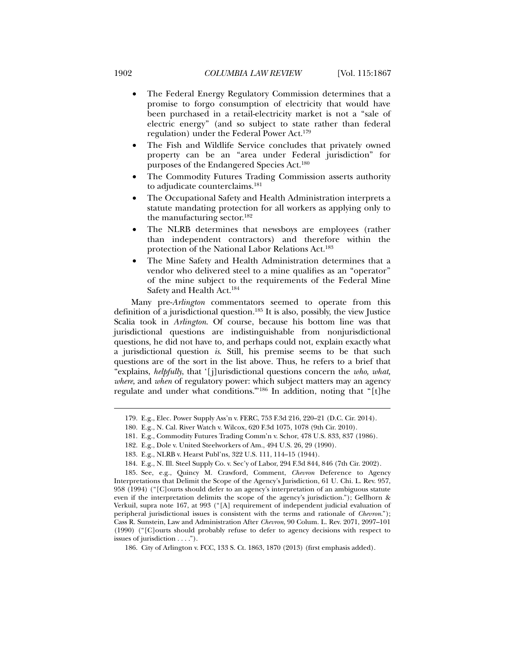- The Federal Energy Regulatory Commission determines that a promise to forgo consumption of electricity that would have been purchased in a retail-electricity market is not a "sale of electric energy" (and so subject to state rather than federal regulation) under the Federal Power Act.179
- The Fish and Wildlife Service concludes that privately owned property can be an "area under Federal jurisdiction" for purposes of the Endangered Species Act.180
- The Commodity Futures Trading Commission asserts authority to adjudicate counterclaims.181
- The Occupational Safety and Health Administration interprets a statute mandating protection for all workers as applying only to the manufacturing sector.182
- The NLRB determines that newsboys are employees (rather than independent contractors) and therefore within the protection of the National Labor Relations Act.<sup>183</sup>
- The Mine Safety and Health Administration determines that a vendor who delivered steel to a mine qualifies as an "operator" of the mine subject to the requirements of the Federal Mine Safety and Health Act.184

Many pre-*Arlington* commentators seemed to operate from this definition of a jurisdictional question.185 It is also, possibly, the view Justice Scalia took in *Arlington*. Of course, because his bottom line was that jurisdictional questions are indistinguishable from nonjurisdictional questions, he did not have to, and perhaps could not, explain exactly what a jurisdictional question *is*. Still, his premise seems to be that such questions are of the sort in the list above. Thus, he refers to a brief that "explains, *helpfully*, that '[j]urisdictional questions concern the *who, what, where*, and *when* of regulatory power: which subject matters may an agency regulate and under what conditions.'"186 In addition, noting that "[t]he

182. E.g., Dole v. United Steelworkers of Am., 494 U.S. 26, 29 (1990).

 185. See, e.g., Quincy M. Crawford, Comment, *Chevron* Deference to Agency Interpretations that Delimit the Scope of the Agency's Jurisdiction, 61 U. Chi. L. Rev. 957, 958 (1994) ("[C]ourts should defer to an agency's interpretation of an ambiguous statute even if the interpretation delimits the scope of the agency's jurisdiction."); Gellhorn & Verkuil, supra note 167, at 993 ("[A] requirement of independent judicial evaluation of peripheral jurisdictional issues is consistent with the terms and rationale of *Chevron*."); Cass R. Sunstein, Law and Administration After *Chevron*, 90 Colum. L. Rev. 2071, 2097–101 (1990) ("[C]ourts should probably refuse to defer to agency decisions with respect to issues of jurisdiction . . . .").

 <sup>179.</sup> E.g., Elec. Power Supply Ass'n v. FERC, 753 F.3d 216, 220–21 (D.C. Cir. 2014).

 <sup>180.</sup> E.g., N. Cal. River Watch v. Wilcox, 620 F.3d 1075, 1078 (9th Cir. 2010).

 <sup>181.</sup> E.g., Commodity Futures Trading Comm'n v. Schor, 478 U.S. 833, 837 (1986).

 <sup>183.</sup> E.g., NLRB v. Hearst Publ'ns, 322 U.S. 111, 114–15 (1944).

 <sup>184.</sup> E.g., N. Ill. Steel Supply Co. v. Sec'y of Labor, 294 F.3d 844, 846 (7th Cir. 2002).

 <sup>186.</sup> City of Arlington v. FCC, 133 S. Ct. 1863, 1870 (2013) (first emphasis added).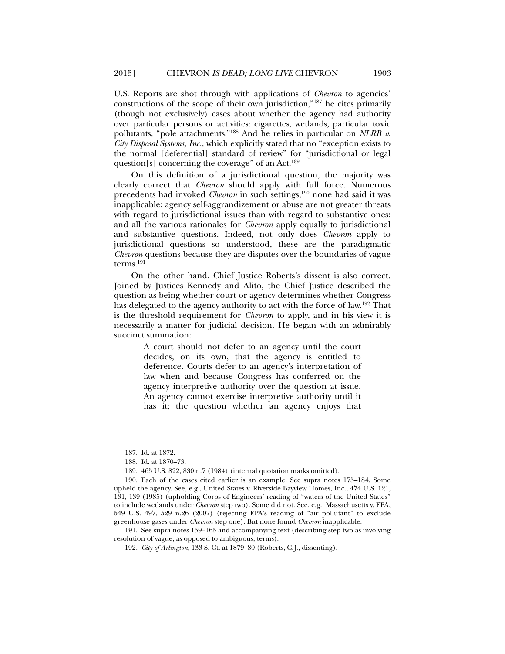U.S. Reports are shot through with applications of *Chevron* to agencies' constructions of the scope of their own jurisdiction,"187 he cites primarily (though not exclusively) cases about whether the agency had authority over particular persons or activities: cigarettes, wetlands, particular toxic pollutants, "pole attachments."188 And he relies in particular on *NLRB v. City Disposal Systems, Inc.*, which explicitly stated that no "exception exists to the normal [deferential] standard of review" for "jurisdictional or legal question[s] concerning the coverage" of an Act.<sup>189</sup>

On this definition of a jurisdictional question, the majority was clearly correct that *Chevron* should apply with full force. Numerous precedents had invoked *Chevron* in such settings;<sup>190</sup> none had said it was inapplicable; agency self-aggrandizement or abuse are not greater threats with regard to jurisdictional issues than with regard to substantive ones; and all the various rationales for *Chevron* apply equally to jurisdictional and substantive questions. Indeed, not only does *Chevron* apply to jurisdictional questions so understood, these are the paradigmatic *Chevron* questions because they are disputes over the boundaries of vague terms.191

On the other hand, Chief Justice Roberts's dissent is also correct. Joined by Justices Kennedy and Alito, the Chief Justice described the question as being whether court or agency determines whether Congress has delegated to the agency authority to act with the force of law.192 That is the threshold requirement for *Chevron* to apply, and in his view it is necessarily a matter for judicial decision. He began with an admirably succinct summation:

> A court should not defer to an agency until the court decides, on its own, that the agency is entitled to deference. Courts defer to an agency's interpretation of law when and because Congress has conferred on the agency interpretive authority over the question at issue. An agency cannot exercise interpretive authority until it has it; the question whether an agency enjoys that

l

 191. See supra notes 159–165 and accompanying text (describing step two as involving resolution of vague, as opposed to ambiguous, terms).

 <sup>187.</sup> Id. at 1872.

 <sup>188.</sup> Id. at 1870–73.

 <sup>189. 465</sup> U.S. 822, 830 n.7 (1984) (internal quotation marks omitted).

 <sup>190.</sup> Each of the cases cited earlier is an example. See supra notes 175–184. Some upheld the agency. See, e.g., United States v. Riverside Bayview Homes, Inc., 474 U.S. 121, 131, 139 (1985) (upholding Corps of Engineers' reading of "waters of the United States" to include wetlands under *Chevron* step two). Some did not. See, e.g., Massachusetts v. EPA, 549 U.S. 497, 529 n.26 (2007) (rejecting EPA's reading of "air pollutant" to exclude greenhouse gases under *Chevron* step one). But none found *Chevron* inapplicable.

<sup>192</sup>*. City of Arlington*, 133 S. Ct. at 1879–80 (Roberts, C.J., dissenting).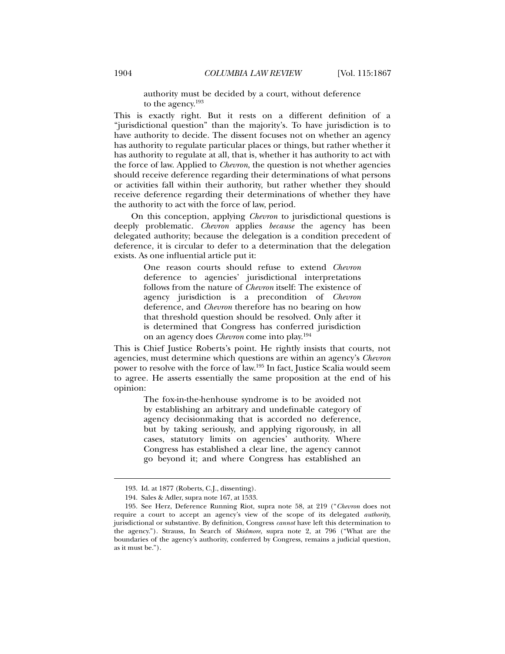authority must be decided by a court, without deference to the agency.193

This is exactly right. But it rests on a different definition of a "jurisdictional question" than the majority's. To have jurisdiction is to have authority to decide. The dissent focuses not on whether an agency has authority to regulate particular places or things, but rather whether it has authority to regulate at all, that is, whether it has authority to act with the force of law. Applied to *Chevron*, the question is not whether agencies should receive deference regarding their determinations of what persons or activities fall within their authority, but rather whether they should receive deference regarding their determinations of whether they have the authority to act with the force of law, period.

On this conception, applying *Chevron* to jurisdictional questions is deeply problematic. *Chevron* applies *because* the agency has been delegated authority; because the delegation is a condition precedent of deference, it is circular to defer to a determination that the delegation exists. As one influential article put it:

> One reason courts should refuse to extend *Chevron* deference to agencies' jurisdictional interpretations follows from the nature of *Chevron* itself: The existence of agency jurisdiction is a precondition of *Chevron* deference, and *Chevron* therefore has no bearing on how that threshold question should be resolved. Only after it is determined that Congress has conferred jurisdiction on an agency does *Chevron* come into play.194

This is Chief Justice Roberts's point. He rightly insists that courts, not agencies, must determine which questions are within an agency's *Chevron*  power to resolve with the force of law.195 In fact, Justice Scalia would seem to agree. He asserts essentially the same proposition at the end of his opinion:

> The fox-in-the-henhouse syndrome is to be avoided not by establishing an arbitrary and undefinable category of agency decisionmaking that is accorded no deference, but by taking seriously, and applying rigorously, in all cases, statutory limits on agencies' authority. Where Congress has established a clear line, the agency cannot go beyond it; and where Congress has established an

 <sup>193.</sup> Id. at 1877 (Roberts, C.J., dissenting).

 <sup>194.</sup> Sales & Adler, supra note 167, at 1533.

 <sup>195.</sup> See Herz, Deference Running Riot, supra note 58, at 219 ("*Chevron* does not require a court to accept an agency's view of the scope of its delegated *authority*, jurisdictional or substantive. By definition, Congress *cannot* have left this determination to the agency."). Strauss, In Search of *Skidmore*, supra note 2, at 796 ("What are the boundaries of the agency's authority, conferred by Congress, remains a judicial question, as it must be.").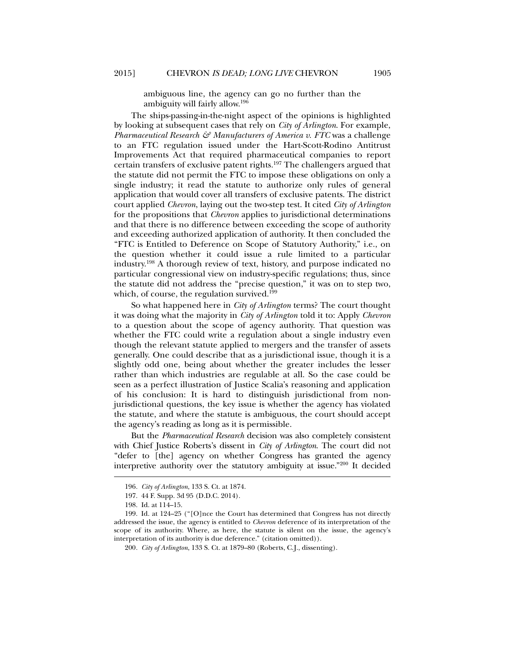ambiguous line, the agency can go no further than the ambiguity will fairly allow.196

The ships-passing-in-the-night aspect of the opinions is highlighted by looking at subsequent cases that rely on *City of Arlington*. For example, *Pharmaceutical Research & Manufacturers of America v. FTC* was a challenge to an FTC regulation issued under the Hart-Scott-Rodino Antitrust Improvements Act that required pharmaceutical companies to report certain transfers of exclusive patent rights.197 The challengers argued that the statute did not permit the FTC to impose these obligations on only a single industry; it read the statute to authorize only rules of general application that would cover all transfers of exclusive patents. The district court applied *Chevron*, laying out the two-step test. It cited *City of Arlington*  for the propositions that *Chevron* applies to jurisdictional determinations and that there is no difference between exceeding the scope of authority and exceeding authorized application of authority. It then concluded the "FTC is Entitled to Deference on Scope of Statutory Authority," i.e., on the question whether it could issue a rule limited to a particular industry.198 A thorough review of text, history, and purpose indicated no particular congressional view on industry-specific regulations; thus, since the statute did not address the "precise question," it was on to step two, which, of course, the regulation survived.<sup>199</sup>

So what happened here in *City of Arlington* terms? The court thought it was doing what the majority in *City of Arlington* told it to: Apply *Chevron*  to a question about the scope of agency authority. That question was whether the FTC could write a regulation about a single industry even though the relevant statute applied to mergers and the transfer of assets generally. One could describe that as a jurisdictional issue, though it is a slightly odd one, being about whether the greater includes the lesser rather than which industries are regulable at all. So the case could be seen as a perfect illustration of Justice Scalia's reasoning and application of his conclusion: It is hard to distinguish jurisdictional from nonjurisdictional questions, the key issue is whether the agency has violated the statute, and where the statute is ambiguous, the court should accept the agency's reading as long as it is permissible.

But the *Pharmaceutical Research* decision was also completely consistent with Chief Justice Roberts's dissent in *City of Arlington*. The court did not "defer to [the] agency on whether Congress has granted the agency interpretive authority over the statutory ambiguity at issue."200 It decided

<sup>196</sup>*. City of Arlington*, 133 S. Ct. at 1874.

 <sup>197. 44</sup> F. Supp. 3d 95 (D.D.C. 2014).

 <sup>198.</sup> Id. at 114–15.

 <sup>199.</sup> Id. at 124–25 ("[O]nce the Court has determined that Congress has not directly addressed the issue, the agency is entitled to *Chevron* deference of its interpretation of the scope of its authority. Where, as here, the statute is silent on the issue, the agency's interpretation of its authority is due deference." (citation omitted)).

<sup>200</sup>*. City of Arlington*, 133 S. Ct. at 1879–80 (Roberts, C.J., dissenting).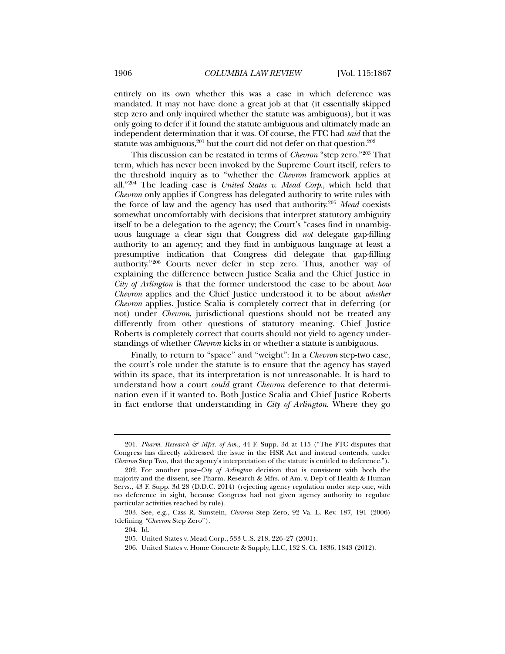entirely on its own whether this was a case in which deference was mandated. It may not have done a great job at that (it essentially skipped step zero and only inquired whether the statute was ambiguous), but it was only going to defer if it found the statute ambiguous and ultimately made an independent determination that it was. Of course, the FTC had *said* that the statute was ambiguous,<sup>201</sup> but the court did not defer on that question.<sup>202</sup>

This discussion can be restated in terms of *Chevron* "step zero."203 That term, which has never been invoked by the Supreme Court itself, refers to the threshold inquiry as to "whether the *Chevron* framework applies at all."204 The leading case is *United States v. Mead Corp*., which held that *Chevron* only applies if Congress has delegated authority to write rules with the force of law and the agency has used that authority.205 *Mead* coexists somewhat uncomfortably with decisions that interpret statutory ambiguity itself to be a delegation to the agency; the Court's "cases find in unambiguous language a clear sign that Congress did *not* delegate gap-filling authority to an agency; and they find in ambiguous language at least a presumptive indication that Congress did delegate that gap-filling authority."206 Courts never defer in step zero. Thus, another way of explaining the difference between Justice Scalia and the Chief Justice in *City of Arlington* is that the former understood the case to be about *how Chevron* applies and the Chief Justice understood it to be about *whether Chevron* applies. Justice Scalia is completely correct that in deferring (or not) under *Chevron*, jurisdictional questions should not be treated any differently from other questions of statutory meaning. Chief Justice Roberts is completely correct that courts should not yield to agency understandings of whether *Chevron* kicks in or whether a statute is ambiguous.

Finally, to return to "space" and "weight": In a *Chevron* step-two case, the court's role under the statute is to ensure that the agency has stayed within its space, that its interpretation is not unreasonable. It is hard to understand how a court *could* grant *Chevron* deference to that determination even if it wanted to. Both Justice Scalia and Chief Justice Roberts in fact endorse that understanding in *City of Arlington*. Where they go

<sup>201.</sup> Pharm. Research & Mfrs. of Am., 44 F. Supp. 3d at 115 ("The FTC disputes that Congress has directly addressed the issue in the HSR Act and instead contends, under *Chevron* Step Two, that the agency's interpretation of the statute is entitled to deference.").

 <sup>202.</sup> For another post–*City of Arlington* decision that is consistent with both the majority and the dissent, see Pharm. Research & Mfrs. of Am. v. Dep't of Health & Human Servs., 43 F. Supp. 3d 28 (D.D.C. 2014) (rejecting agency regulation under step one, with no deference in sight, because Congress had not given agency authority to regulate particular activities reached by rule).

 <sup>203.</sup> See, e.g., Cass R. Sunstein, *Chevron* Step Zero, 92 Va. L. Rev. 187, 191 (2006) (defining *"Chevron* Step Zero").

 <sup>204.</sup> Id.

 <sup>205.</sup> United States v. Mead Corp., 533 U.S. 218, 226–27 (2001).

 <sup>206.</sup> United States v. Home Concrete & Supply, LLC, 132 S. Ct. 1836, 1843 (2012).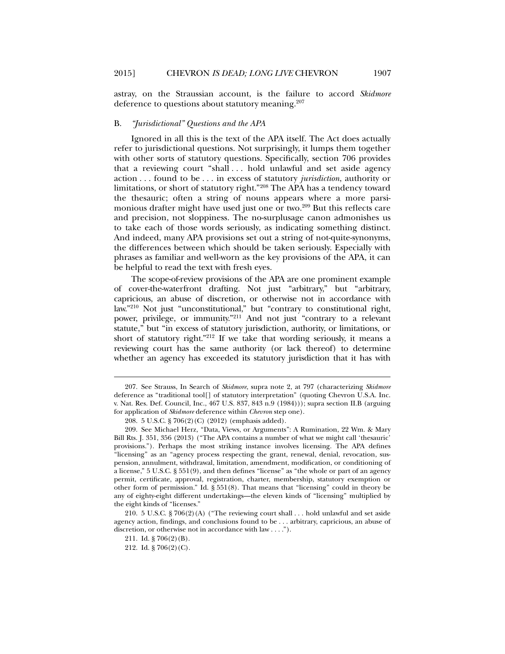astray, on the Straussian account, is the failure to accord *Skidmore*  deference to questions about statutory meaning.<sup>207</sup>

### B. *"Jurisdictional" Questions and the APA*

Ignored in all this is the text of the APA itself. The Act does actually refer to jurisdictional questions. Not surprisingly, it lumps them together with other sorts of statutory questions. Specifically, section 706 provides that a reviewing court "shall . . . hold unlawful and set aside agency action . . . found to be . . . in excess of statutory *jurisdiction*, authority or limitations, or short of statutory right."208 The APA has a tendency toward the thesauric; often a string of nouns appears where a more parsimonious drafter might have used just one or two.<sup>209</sup> But this reflects care and precision, not sloppiness. The no-surplusage canon admonishes us to take each of those words seriously, as indicating something distinct. And indeed, many APA provisions set out a string of not-quite-synonyms, the differences between which should be taken seriously. Especially with phrases as familiar and well-worn as the key provisions of the APA, it can be helpful to read the text with fresh eyes.

The scope-of-review provisions of the APA are one prominent example of cover-the-waterfront drafting. Not just "arbitrary," but "arbitrary, capricious, an abuse of discretion, or otherwise not in accordance with law."210 Not just "unconstitutional," but "contrary to constitutional right, power, privilege, or immunity."211 And not just "contrary to a relevant statute," but "in excess of statutory jurisdiction, authority, or limitations, or short of statutory right."212 If we take that wording seriously, it means a reviewing court has the same authority (or lack thereof) to determine whether an agency has exceeded its statutory jurisdiction that it has with

 <sup>207.</sup> See Strauss, In Search of *Skidmore*, supra note 2, at 797 (characterizing *Skidmore*  deference as "traditional tool[] of statutory interpretation" (quoting Chevron U.S.A. Inc. v. Nat. Res. Def. Council, Inc., 467 U.S. 837, 843 n.9 (1984))); supra section II.B (arguing for application of *Skidmore* deference within *Chevron* step one).

 <sup>208. 5</sup> U.S.C. § 706(2)(C) (2012) (emphasis added).

 <sup>209.</sup> See Michael Herz, "Data, Views, or Arguments": A Rumination, 22 Wm. & Mary Bill Rts. J. 351, 356 (2013) ("The APA contains a number of what we might call 'thesauric' provisions."). Perhaps the most striking instance involves licensing. The APA defines "licensing" as an "agency process respecting the grant, renewal, denial, revocation, suspension, annulment, withdrawal, limitation, amendment, modification, or conditioning of a license," 5 U.S.C. § 551(9), and then defines "license" as "the whole or part of an agency permit, certificate, approval, registration, charter, membership, statutory exemption or other form of permission." Id. § 551(8). That means that "licensing" could in theory be any of eighty-eight different undertakings—the eleven kinds of "licensing" multiplied by the eight kinds of "licenses."

 <sup>210. 5</sup> U.S.C. § 706(2)(A) ("The reviewing court shall . . . hold unlawful and set aside agency action, findings, and conclusions found to be . . . arbitrary, capricious, an abuse of discretion, or otherwise not in accordance with law . . . .").

 <sup>211.</sup> Id. § 706(2)(B).

 <sup>212.</sup> Id. § 706(2)(C).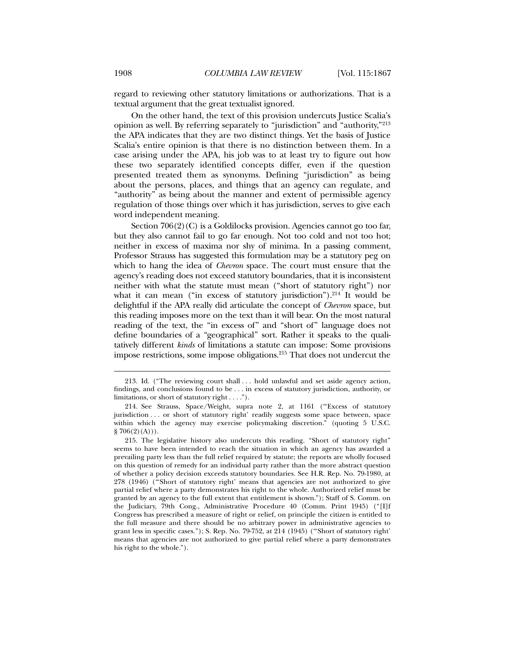regard to reviewing other statutory limitations or authorizations. That is a textual argument that the great textualist ignored.

On the other hand, the text of this provision undercuts Justice Scalia's opinion as well. By referring separately to "jurisdiction" and "authority,"213 the APA indicates that they are two distinct things. Yet the basis of Justice Scalia's entire opinion is that there is no distinction between them. In a case arising under the APA, his job was to at least try to figure out how these two separately identified concepts differ, even if the question presented treated them as synonyms. Defining "jurisdiction" as being about the persons, places, and things that an agency can regulate, and "authority" as being about the manner and extent of permissible agency regulation of those things over which it has jurisdiction, serves to give each word independent meaning.

Section 706(2)(C) is a Goldilocks provision. Agencies cannot go too far, but they also cannot fail to go far enough. Not too cold and not too hot; neither in excess of maxima nor shy of minima. In a passing comment, Professor Strauss has suggested this formulation may be a statutory peg on which to hang the idea of *Chevron* space. The court must ensure that the agency's reading does not exceed statutory boundaries, that it is inconsistent neither with what the statute must mean ("short of statutory right") nor what it can mean ("in excess of statutory jurisdiction"). $214$  It would be delightful if the APA really did articulate the concept of *Chevron* space, but this reading imposes more on the text than it will bear. On the most natural reading of the text, the "in excess of" and "short of" language does not define boundaries of a "geographical" sort. Rather it speaks to the qualitatively different *kinds* of limitations a statute can impose: Some provisions impose restrictions, some impose obligations.215 That does not undercut the

 <sup>213.</sup> Id. ("The reviewing court shall . . . hold unlawful and set aside agency action, findings, and conclusions found to be . . . in excess of statutory jurisdiction, authority, or limitations, or short of statutory right . . . .").

 <sup>214.</sup> See Strauss, Space/Weight, supra note 2, at 1161 ("'Excess of statutory jurisdiction . . . or short of statutory right' readily suggests some space between, space within which the agency may exercise policymaking discretion." (quoting 5 U.S.C.  $\S 706(2)(A))$ .

 <sup>215.</sup> The legislative history also undercuts this reading. "Short of statutory right" seems to have been intended to reach the situation in which an agency has awarded a prevailing party less than the full relief required by statute; the reports are wholly focused on this question of remedy for an individual party rather than the more abstract question of whether a policy decision exceeds statutory boundaries. See H.R. Rep. No. 79-1980, at 278 (1946) ("'Short of statutory right' means that agencies are not authorized to give partial relief where a party demonstrates his right to the whole. Authorized relief must be granted by an agency to the full extent that entitlement is shown."); Staff of S. Comm. on the Judiciary, 79th Cong., Administrative Procedure 40 (Comm. Print 1945) ("[I]f Congress has prescribed a measure of right or relief, on principle the citizen is entitled to the full measure and there should be no arbitrary power in administrative agencies to grant less in specific cases."); S. Rep. No. 79-752, at 214 (1945) ("'Short of statutory right' means that agencies are not authorized to give partial relief where a party demonstrates his right to the whole.").